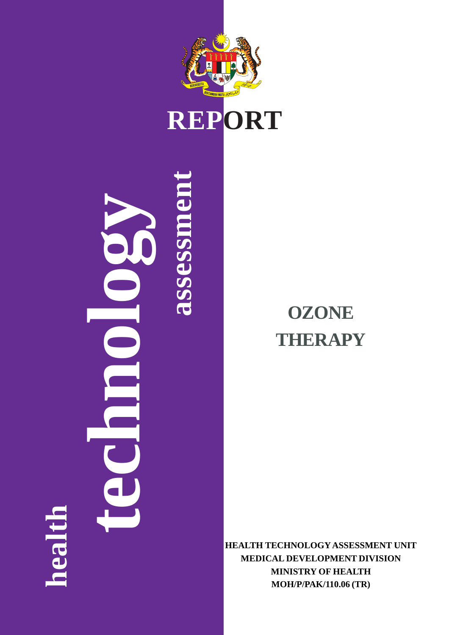

## **REPORT**

## **OZONE THERAPY**

**HEALTH TECHNOLOGY ASSESSMENT UNIT MEDICAL DEVELOPMENT DIVISION MINISTRY OF HEALTH MOH/P/PAK/110.06 (TR)**

# **assessment technology** assessn **health**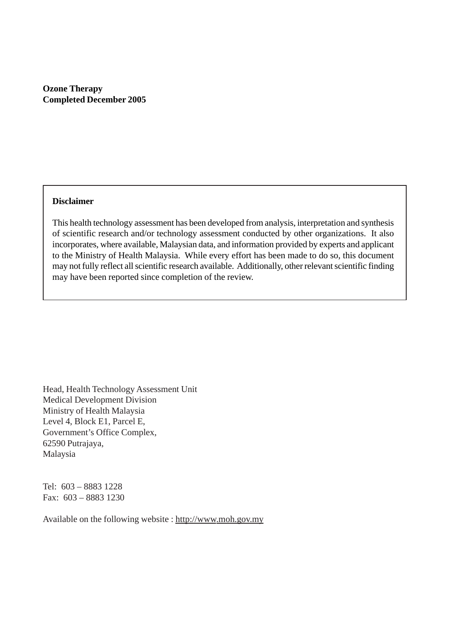**Ozone Therapy Completed December 2005**

#### **Disclaimer**

This health technology assessment has been developed from analysis, interpretation and synthesis of scientific research and/or technology assessment conducted by other organizations. It also incorporates, where available, Malaysian data, and information provided by experts and applicant to the Ministry of Health Malaysia. While every effort has been made to do so, this document may not fully reflect all scientific research available. Additionally, other relevant scientific finding may have been reported since completion of the review.

Head, Health Technology Assessment Unit Medical Development Division Ministry of Health Malaysia Level 4, Block E1, Parcel E, Government's Office Complex, 62590 Putrajaya, Malaysia

Tel: 603 – 8883 1228 Fax: 603 – 8883 1230

Available on the following website : http://www.moh.gov.my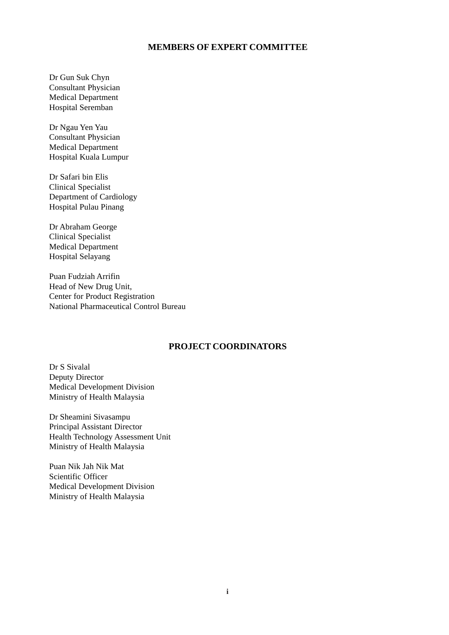#### **MEMBERS OF EXPERT COMMITTEE**

Dr Gun Suk Chyn Consultant Physician Medical Department Hospital Seremban

Dr Ngau Yen Yau Consultant Physician Medical Department Hospital Kuala Lumpur

Dr Safari bin Elis Clinical Specialist Department of Cardiology Hospital Pulau Pinang

Dr Abraham George Clinical Specialist Medical Department Hospital Selayang

Puan Fudziah Arrifin Head of New Drug Unit, Center for Product Registration National Pharmaceutical Control Bureau

#### **PROJECT COORDINATORS**

Dr S Sivalal Deputy Director Medical Development Division Ministry of Health Malaysia

Dr Sheamini Sivasampu Principal Assistant Director Health Technology Assessment Unit Ministry of Health Malaysia

Puan Nik Jah Nik Mat Scientific Officer Medical Development Division Ministry of Health Malaysia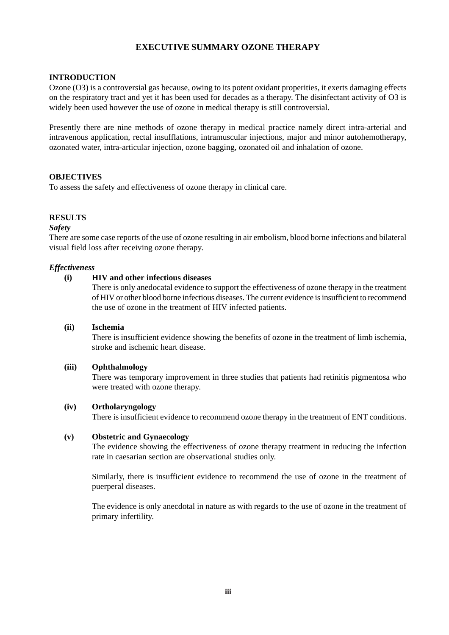#### **EXECUTIVE SUMMARY OZONE THERAPY**

#### **INTRODUCTION**

Ozone (O3) is a controversial gas because, owing to its potent oxidant properities, it exerts damaging effects on the respiratory tract and yet it has been used for decades as a therapy. The disinfectant activity of O3 is widely been used however the use of ozone in medical therapy is still controversial.

Presently there are nine methods of ozone therapy in medical practice namely direct intra-arterial and intravenous application, rectal insufflations, intramuscular injections, major and minor autohemotherapy, ozonated water, intra-articular injection, ozone bagging, ozonated oil and inhalation of ozone.

#### **OBJECTIVES**

To assess the safety and effectiveness of ozone therapy in clinical care.

#### **RESULTS**

#### *Safety*

There are some case reports of the use of ozone resulting in air embolism, blood borne infections and bilateral visual field loss after receiving ozone therapy.

#### *Effectiveness*

#### **(i) HIV and other infectious diseases**

There is only anedocatal evidence to support the effectiveness of ozone therapy in the treatment of HIV or other blood borne infectious diseases. The current evidence is insufficient to recommend the use of ozone in the treatment of HIV infected patients.

#### **(ii) Ischemia**

There is insufficient evidence showing the benefits of ozone in the treatment of limb ischemia, stroke and ischemic heart disease.

#### **(iii) Ophthalmology**

There was temporary improvement in three studies that patients had retinitis pigmentosa who were treated with ozone therapy.

#### **(iv) Ortholaryngology**

There is insufficient evidence to recommend ozone therapy in the treatment of ENT conditions.

#### **(v) Obstetric and Gynaecology**

The evidence showing the effectiveness of ozone therapy treatment in reducing the infection rate in caesarian section are observational studies only.

Similarly, there is insufficient evidence to recommend the use of ozone in the treatment of puerperal diseases.

The evidence is only anecdotal in nature as with regards to the use of ozone in the treatment of primary infertility.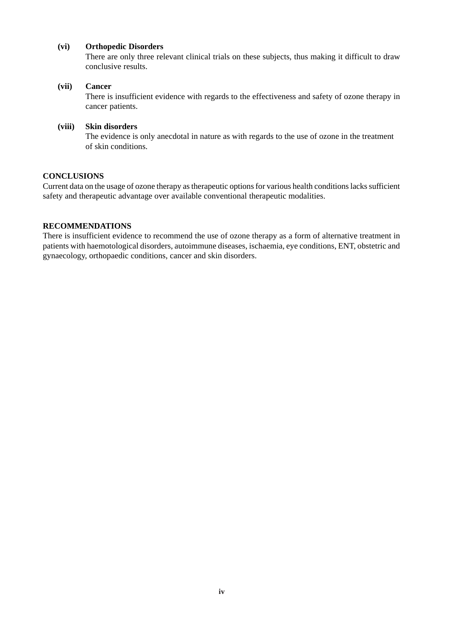#### **(vi) Orthopedic Disorders**

There are only three relevant clinical trials on these subjects, thus making it difficult to draw conclusive results.

#### **(vii) Cancer**

There is insufficient evidence with regards to the effectiveness and safety of ozone therapy in cancer patients.

#### **(viii) Skin disorders**

The evidence is only anecdotal in nature as with regards to the use of ozone in the treatment of skin conditions.

#### **CONCLUSIONS**

Current data on the usage of ozone therapy as therapeutic options for various health conditions lacks sufficient safety and therapeutic advantage over available conventional therapeutic modalities.

#### **RECOMMENDATIONS**

There is insufficient evidence to recommend the use of ozone therapy as a form of alternative treatment in patients with haemotological disorders, autoimmune diseases, ischaemia, eye conditions, ENT, obstetric and gynaecology, orthopaedic conditions, cancer and skin disorders.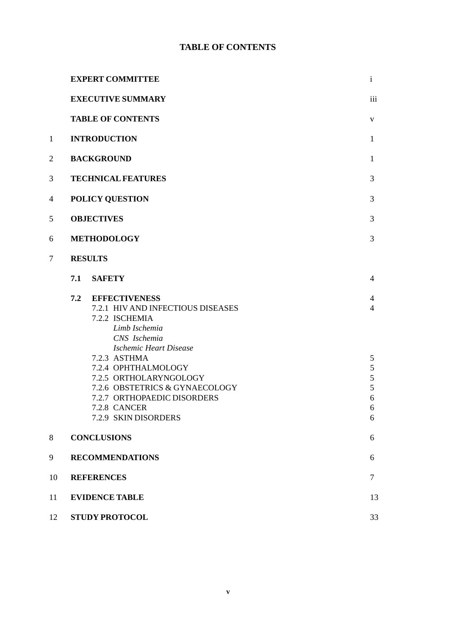### **TABLE OF CONTENTS**

|                | <b>EXPERT COMMITTEE</b>                                                                                                                                                                                                                                                                                                        | $\mathbf{i}$                                                                   |
|----------------|--------------------------------------------------------------------------------------------------------------------------------------------------------------------------------------------------------------------------------------------------------------------------------------------------------------------------------|--------------------------------------------------------------------------------|
|                | <b>EXECUTIVE SUMMARY</b>                                                                                                                                                                                                                                                                                                       | iii                                                                            |
|                | <b>TABLE OF CONTENTS</b>                                                                                                                                                                                                                                                                                                       | V                                                                              |
| $\mathbf{1}$   | <b>INTRODUCTION</b>                                                                                                                                                                                                                                                                                                            | $\mathbf{1}$                                                                   |
| $\overline{2}$ | <b>BACKGROUND</b>                                                                                                                                                                                                                                                                                                              | $\mathbf{1}$                                                                   |
| 3              | <b>TECHNICAL FEATURES</b>                                                                                                                                                                                                                                                                                                      | 3                                                                              |
| 4              | POLICY QUESTION                                                                                                                                                                                                                                                                                                                | 3                                                                              |
| 5              | <b>OBJECTIVES</b>                                                                                                                                                                                                                                                                                                              | 3                                                                              |
| 6              | <b>METHODOLOGY</b>                                                                                                                                                                                                                                                                                                             | 3                                                                              |
| $\tau$         | <b>RESULTS</b>                                                                                                                                                                                                                                                                                                                 |                                                                                |
|                | <b>SAFETY</b><br>7.1                                                                                                                                                                                                                                                                                                           | $\overline{4}$                                                                 |
|                | <b>EFFECTIVENESS</b><br>7.2<br>7.2.1 HIV AND INFECTIOUS DISEASES<br>7.2.2 ISCHEMIA<br>Limb Ischemia<br>CNS Ischemia<br><b>Ischemic Heart Disease</b><br>7.2.3 ASTHMA<br>7.2.4 OPHTHALMOLOGY<br>7.2.5 ORTHOLARYNGOLOGY<br>7.2.6 OBSTETRICS & GYNAECOLOGY<br>7.2.7 ORTHOPAEDIC DISORDERS<br>7.2.8 CANCER<br>7.2.9 SKIN DISORDERS | 4<br>$\overline{4}$<br>5<br>$\mathfrak s$<br>$\mathfrak s$<br>5<br>6<br>6<br>6 |
| $8\phantom{1}$ | <b>CONCLUSIONS</b>                                                                                                                                                                                                                                                                                                             | 6                                                                              |
| 9              | <b>RECOMMENDATIONS</b>                                                                                                                                                                                                                                                                                                         | 6                                                                              |
| 10             | <b>REFERENCES</b>                                                                                                                                                                                                                                                                                                              | $\overline{7}$                                                                 |
| 11             | <b>EVIDENCE TABLE</b>                                                                                                                                                                                                                                                                                                          | 13                                                                             |
| 12             | <b>STUDY PROTOCOL</b>                                                                                                                                                                                                                                                                                                          | 33                                                                             |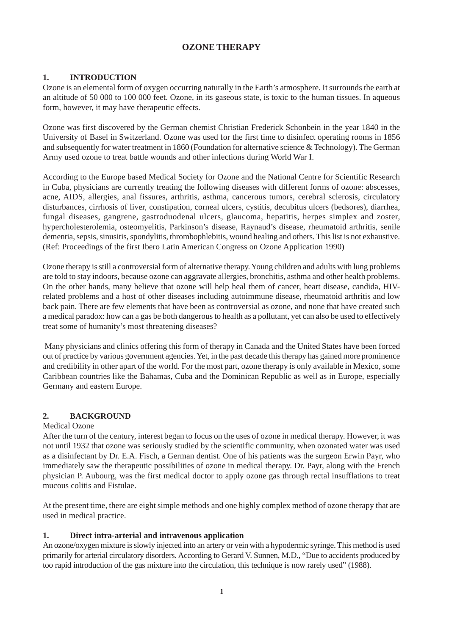#### **OZONE THERAPY**

#### **1. INTRODUCTION**

Ozone is an elemental form of oxygen occurring naturally in the Earth's atmosphere. It surrounds the earth at an altitude of 50 000 to 100 000 feet. Ozone, in its gaseous state, is toxic to the human tissues. In aqueous form, however, it may have therapeutic effects.

Ozone was first discovered by the German chemist Christian Frederick Schonbein in the year 1840 in the University of Basel in Switzerland. Ozone was used for the first time to disinfect operating rooms in 1856 and subsequently for water treatment in 1860 (Foundation for alternative science & Technology). The German Army used ozone to treat battle wounds and other infections during World War I.

According to the Europe based Medical Society for Ozone and the National Centre for Scientific Research in Cuba, physicians are currently treating the following diseases with different forms of ozone: abscesses, acne, AIDS, allergies, anal fissures, arthritis, asthma, cancerous tumors, cerebral sclerosis, circulatory disturbances, cirrhosis of liver, constipation, corneal ulcers, cystitis, decubitus ulcers (bedsores), diarrhea, fungal diseases, gangrene, gastroduodenal ulcers, glaucoma, hepatitis, herpes simplex and zoster, hypercholesterolemia, osteomyelitis, Parkinson's disease, Raynaud's disease, rheumatoid arthritis, senile dementia, sepsis, sinusitis, spondylitis, thrombophlebitis, wound healing and others. This list is not exhaustive. (Ref: Proceedings of the first Ibero Latin American Congress on Ozone Application 1990)

Ozone therapy is still a controversial form of alternative therapy. Young children and adults with lung problems are told to stay indoors, because ozone can aggravate allergies, bronchitis, asthma and other health problems. On the other hands, many believe that ozone will help heal them of cancer, heart disease, candida, HIVrelated problems and a host of other diseases including autoimmune disease, rheumatoid arthritis and low back pain. There are few elements that have been as controversial as ozone, and none that have created such a medical paradox: how can a gas be both dangerous to health as a pollutant, yet can also be used to effectively treat some of humanity's most threatening diseases?

 Many physicians and clinics offering this form of therapy in Canada and the United States have been forced out of practice by various government agencies. Yet, in the past decade this therapy has gained more prominence and credibility in other apart of the world. For the most part, ozone therapy is only available in Mexico, some Caribbean countries like the Bahamas, Cuba and the Dominican Republic as well as in Europe, especially Germany and eastern Europe.

#### **2. BACKGROUND**

#### Medical Ozone

After the turn of the century, interest began to focus on the uses of ozone in medical therapy. However, it was not until 1932 that ozone was seriously studied by the scientific community, when ozonated water was used as a disinfectant by Dr. E.A. Fisch, a German dentist. One of his patients was the surgeon Erwin Payr, who immediately saw the therapeutic possibilities of ozone in medical therapy. Dr. Payr, along with the French physician P. Aubourg, was the first medical doctor to apply ozone gas through rectal insufflations to treat mucous colitis and Fistulae.

At the present time, there are eight simple methods and one highly complex method of ozone therapy that are used in medical practice.

#### **1. Direct intra-arterial and intravenous application**

An ozone/oxygen mixture is slowly injected into an artery or vein with a hypodermic syringe. This method is used primarily for arterial circulatory disorders. According to Gerard V. Sunnen, M.D., "Due to accidents produced by too rapid introduction of the gas mixture into the circulation, this technique is now rarely used" (1988).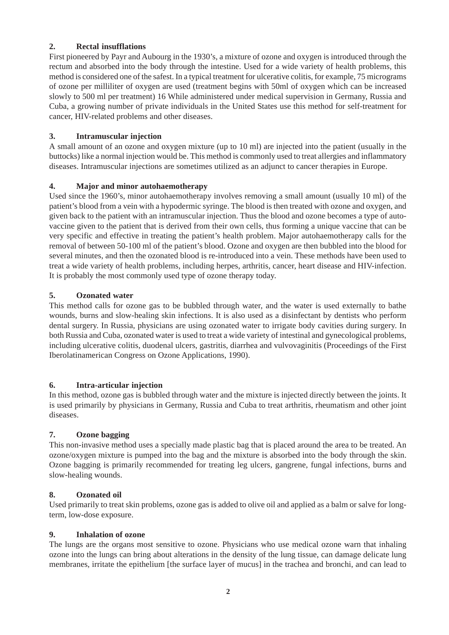#### **2. Rectal insufflations**

First pioneered by Payr and Aubourg in the 1930's, a mixture of ozone and oxygen is introduced through the rectum and absorbed into the body through the intestine. Used for a wide variety of health problems, this method is considered one of the safest. In a typical treatment for ulcerative colitis, for example, 75 micrograms of ozone per milliliter of oxygen are used (treatment begins with 50ml of oxygen which can be increased slowly to 500 ml per treatment) 16 While administered under medical supervision in Germany, Russia and Cuba, a growing number of private individuals in the United States use this method for self-treatment for cancer, HIV-related problems and other diseases.

#### **3. Intramuscular injection**

A small amount of an ozone and oxygen mixture (up to 10 ml) are injected into the patient (usually in the buttocks) like a normal injection would be. This method is commonly used to treat allergies and inflammatory diseases. Intramuscular injections are sometimes utilized as an adjunct to cancer therapies in Europe.

#### **4. Major and minor autohaemotherapy**

Used since the 1960's, minor autohaemotherapy involves removing a small amount (usually 10 ml) of the patient's blood from a vein with a hypodermic syringe. The blood is then treated with ozone and oxygen, and given back to the patient with an intramuscular injection. Thus the blood and ozone becomes a type of autovaccine given to the patient that is derived from their own cells, thus forming a unique vaccine that can be very specific and effective in treating the patient's health problem. Major autohaemotherapy calls for the removal of between 50-100 ml of the patient's blood. Ozone and oxygen are then bubbled into the blood for several minutes, and then the ozonated blood is re-introduced into a vein. These methods have been used to treat a wide variety of health problems, including herpes, arthritis, cancer, heart disease and HIV-infection. It is probably the most commonly used type of ozone therapy today.

#### **5. Ozonated water**

This method calls for ozone gas to be bubbled through water, and the water is used externally to bathe wounds, burns and slow-healing skin infections. It is also used as a disinfectant by dentists who perform dental surgery. In Russia, physicians are using ozonated water to irrigate body cavities during surgery. In both Russia and Cuba, ozonated water is used to treat a wide variety of intestinal and gynecological problems, including ulcerative colitis, duodenal ulcers, gastritis, diarrhea and vulvovaginitis (Proceedings of the First Iberolatinamerican Congress on Ozone Applications, 1990).

#### **6. Intra-articular injection**

In this method, ozone gas is bubbled through water and the mixture is injected directly between the joints. It is used primarily by physicians in Germany, Russia and Cuba to treat arthritis, rheumatism and other joint diseases.

#### **7. Ozone bagging**

This non-invasive method uses a specially made plastic bag that is placed around the area to be treated. An ozone/oxygen mixture is pumped into the bag and the mixture is absorbed into the body through the skin. Ozone bagging is primarily recommended for treating leg ulcers, gangrene, fungal infections, burns and slow-healing wounds.

#### **8. Ozonated oil**

Used primarily to treat skin problems, ozone gas is added to olive oil and applied as a balm or salve for longterm, low-dose exposure.

#### **9. Inhalation of ozone**

The lungs are the organs most sensitive to ozone. Physicians who use medical ozone warn that inhaling ozone into the lungs can bring about alterations in the density of the lung tissue, can damage delicate lung membranes, irritate the epithelium [the surface layer of mucus] in the trachea and bronchi, and can lead to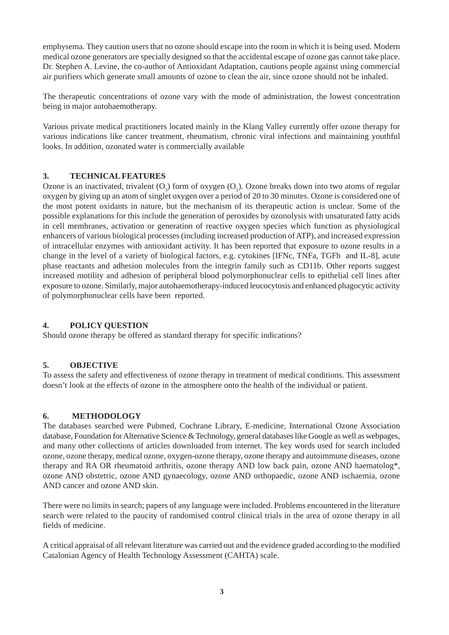emphysema. They caution users that no ozone should escape into the room in which it is being used. Modern medical ozone generators are specially designed so that the accidental escape of ozone gas cannot take place. Dr. Stephen A. Levine, the co-author of Antioxidant Adaptation, cautions people against using commercial air purifiers which generate small amounts of ozone to clean the air, since ozone should not be inhaled.

The therapeutic concentrations of ozone vary with the mode of administration, the lowest concentration being in major autohaemotherapy.

Various private medical practitioners located mainly in the Klang Valley currently offer ozone therapy for various indications like cancer treatment, rheumatism, chronic viral infections and maintaining youthful looks. In addition, ozonated water is commercially available

#### **3. TECHNICAL FEATURES**

Ozone is an inactivated, trivalent  $(O_3)$  form of oxygen  $(O_2)$ . Ozone breaks down into two atoms of regular oxygen by giving up an atom of singlet oxygen over a period of 20 to 30 minutes. Ozone is considered one of the most potent oxidants in nature, but the mechanism of its therapeutic action is unclear. Some of the possible explanations for this include the generation of peroxides by ozonolysis with unsaturated fatty acids in cell membranes, activation or generation of reactive oxygen species which function as physiological enhancers of various biological processes (including increased production of ATP), and increased expression of intracellular enzymes with antioxidant activity. It has been reported that exposure to ozone results in a change in the level of a variety of biological factors, e.g. cytokines [IFNc, TNFa, TGFb and IL-8], acute phase reactants and adhesion molecules from the integrin family such as CD11b. Other reports suggest increased motility and adhesion of peripheral blood polymorphonuclear cells to epithelial cell lines after exposure to ozone. Similarly, major autohaemotherapy-induced leucocytosis and enhanced phagocytic activity of polymorphonuclear cells have been reported.

#### **4. POLICY QUESTION**

Should ozone therapy be offered as standard therapy for specific indications?

#### **5. OBJECTIVE**

To assess the safety and effectiveness of ozone therapy in treatment of medical conditions. This assessment doesn't look at the effects of ozone in the atmosphere onto the health of the individual or patient.

#### **6. METHODOLOGY**

The databases searched were Pubmed, Cochrane Library, E-medicine, International Ozone Association database, Foundation for Alternative Science & Technology, general databases like Google as well as webpages, and many other collections of articles downloaded from internet. The key words used for search included ozone, ozone therapy, medical ozone, oxygen-ozone therapy, ozone therapy and autoimmune diseases, ozone therapy and RA OR rheumatoid arthritis, ozone therapy AND low back pain, ozone AND haematolog\*, ozone AND obstetric, ozone AND gynaecology, ozone AND orthopaedic, ozone AND ischaemia, ozone AND cancer and ozone AND skin.

There were no limits in search; papers of any language were included. Problems encountered in the literature search were related to the paucity of randomised control clinical trials in the area of ozone therapy in all fields of medicine.

A critical appraisal of all relevant literature was carried out and the evidence graded according to the modified Catalonian Agency of Health Technology Assessment (CAHTA) scale.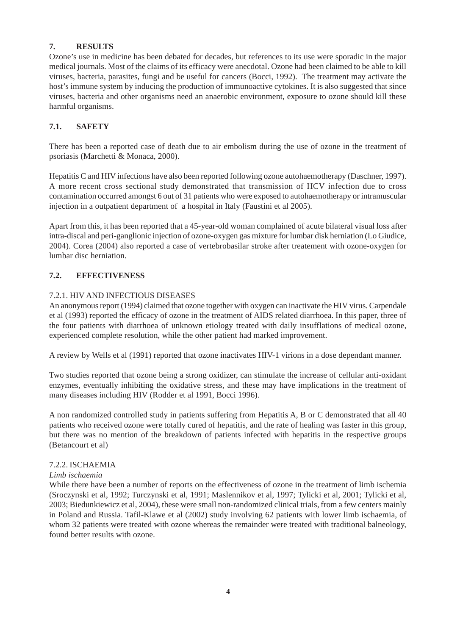#### **7. RESULTS**

Ozone's use in medicine has been debated for decades, but references to its use were sporadic in the major medical journals. Most of the claims of its efficacy were anecdotal. Ozone had been claimed to be able to kill viruses, bacteria, parasites, fungi and be useful for cancers (Bocci, 1992). The treatment may activate the host's immune system by inducing the production of immunoactive cytokines. It is also suggested that since viruses, bacteria and other organisms need an anaerobic environment, exposure to ozone should kill these harmful organisms.

#### **7.1. SAFETY**

There has been a reported case of death due to air embolism during the use of ozone in the treatment of psoriasis (Marchetti & Monaca, 2000).

Hepatitis C and HIV infections have also been reported following ozone autohaemotherapy (Daschner, 1997). A more recent cross sectional study demonstrated that transmission of HCV infection due to cross contamination occurred amongst 6 out of 31 patients who were exposed to autohaemotherapy or intramuscular injection in a outpatient department of a hospital in Italy (Faustini et al 2005).

Apart from this, it has been reported that a 45-year-old woman complained of acute bilateral visual loss after intra-discal and peri-ganglionic injection of ozone-oxygen gas mixture for lumbar disk herniation (Lo Giudice, 2004). Corea (2004) also reported a case of vertebrobasilar stroke after treatement with ozone-oxygen for lumbar disc herniation.

#### **7.2. EFFECTIVENESS**

#### 7.2.1. HIV AND INFECTIOUS DISEASES

An anonymous report (1994) claimed that ozone together with oxygen can inactivate the HIV virus. Carpendale et al (1993) reported the efficacy of ozone in the treatment of AIDS related diarrhoea. In this paper, three of the four patients with diarrhoea of unknown etiology treated with daily insufflations of medical ozone, experienced complete resolution, while the other patient had marked improvement.

A review by Wells et al (1991) reported that ozone inactivates HIV-1 virions in a dose dependant manner.

Two studies reported that ozone being a strong oxidizer, can stimulate the increase of cellular anti-oxidant enzymes, eventually inhibiting the oxidative stress, and these may have implications in the treatment of many diseases including HIV (Rodder et al 1991, Bocci 1996).

A non randomized controlled study in patients suffering from Hepatitis A, B or C demonstrated that all 40 patients who received ozone were totally cured of hepatitis, and the rate of healing was faster in this group, but there was no mention of the breakdown of patients infected with hepatitis in the respective groups (Betancourt et al)

#### 7.2.2. ISCHAEMIA

#### *Limb ischaemia*

While there have been a number of reports on the effectiveness of ozone in the treatment of limb ischemia (Sroczynski et al, 1992; Turczynski et al, 1991; Maslennikov et al, 1997; Tylicki et al, 2001; Tylicki et al, 2003; Biedunkiewicz et al, 2004), these were small non-randomized clinical trials, from a few centers mainly in Poland and Russia. Tafil-Klawe et al (2002) study involving 62 patients with lower limb ischaemia, of whom 32 patients were treated with ozone whereas the remainder were treated with traditional balneology, found better results with ozone.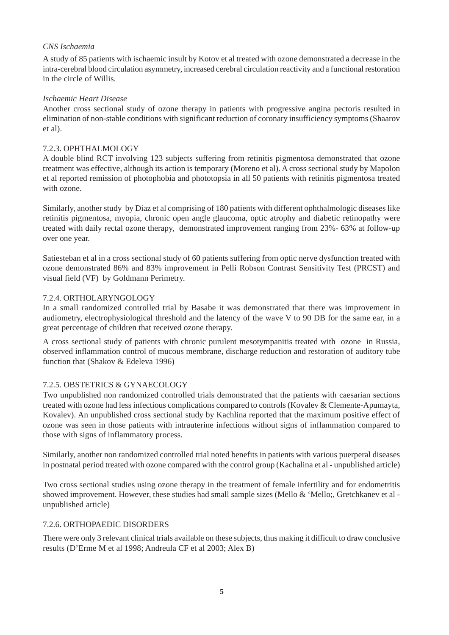#### *CNS Ischaemia*

A study of 85 patients with ischaemic insult by Kotov et al treated with ozone demonstrated a decrease in the intra-cerebral blood circulation asymmetry, increased cerebral circulation reactivity and a functional restoration in the circle of Willis.

#### *Ischaemic Heart Disease*

Another cross sectional study of ozone therapy in patients with progressive angina pectoris resulted in elimination of non-stable conditions with significant reduction of coronary insufficiency symptoms (Shaarov et al).

#### 7.2.3. OPHTHALMOLOGY

A double blind RCT involving 123 subjects suffering from retinitis pigmentosa demonstrated that ozone treatment was effective, although its action is temporary (Moreno et al). A cross sectional study by Mapolon et al reported remission of photophobia and phototopsia in all 50 patients with retinitis pigmentosa treated with ozone.

Similarly, another study by Diaz et al comprising of 180 patients with different ophthalmologic diseases like retinitis pigmentosa, myopia, chronic open angle glaucoma, optic atrophy and diabetic retinopathy were treated with daily rectal ozone therapy, demonstrated improvement ranging from 23%- 63% at follow-up over one year.

Satiesteban et al in a cross sectional study of 60 patients suffering from optic nerve dysfunction treated with ozone demonstrated 86% and 83% improvement in Pelli Robson Contrast Sensitivity Test (PRCST) and visual field (VF) by Goldmann Perimetry.

#### 7.2.4. ORTHOLARYNGOLOGY

In a small randomized controlled trial by Basabe it was demonstrated that there was improvement in audiometry, electrophysiological threshold and the latency of the wave V to 90 DB for the same ear, in a great percentage of children that received ozone therapy.

A cross sectional study of patients with chronic purulent mesotympanitis treated with ozone in Russia, observed inflammation control of mucous membrane, discharge reduction and restoration of auditory tube function that (Shakov & Edeleva 1996)

#### 7.2.5. OBSTETRICS & GYNAECOLOGY

Two unpublished non randomized controlled trials demonstrated that the patients with caesarian sections treated with ozone had less infectious complications compared to controls (Kovalev & Clemente-Apumayta, Kovalev). An unpublished cross sectional study by Kachlina reported that the maximum positive effect of ozone was seen in those patients with intrauterine infections without signs of inflammation compared to those with signs of inflammatory process.

Similarly, another non randomized controlled trial noted benefits in patients with various puerperal diseases in postnatal period treated with ozone compared with the control group (Kachalina et al - unpublished article)

Two cross sectional studies using ozone therapy in the treatment of female infertility and for endometritis showed improvement. However, these studies had small sample sizes (Mello & 'Mello;, Gretchkanev et al unpublished article)

#### 7.2.6. ORTHOPAEDIC DISORDERS

There were only 3 relevant clinical trials available on these subjects, thus making it difficult to draw conclusive results (D'Erme M et al 1998; Andreula CF et al 2003; Alex B)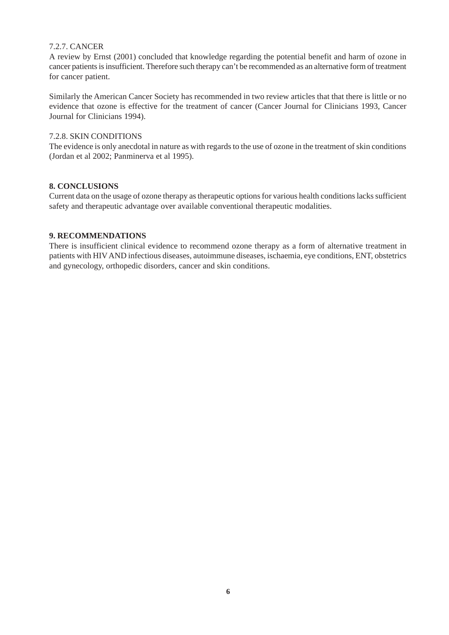#### 7.2.7. CANCER

A review by Ernst (2001) concluded that knowledge regarding the potential benefit and harm of ozone in cancer patients is insufficient. Therefore such therapy can't be recommended as an alternative form of treatment for cancer patient.

Similarly the American Cancer Society has recommended in two review articles that that there is little or no evidence that ozone is effective for the treatment of cancer (Cancer Journal for Clinicians 1993, Cancer Journal for Clinicians 1994).

#### 7.2.8. SKIN CONDITIONS

The evidence is only anecdotal in nature as with regards to the use of ozone in the treatment of skin conditions (Jordan et al 2002; Panminerva et al 1995).

#### **8. CONCLUSIONS**

Current data on the usage of ozone therapy as therapeutic options for various health conditions lacks sufficient safety and therapeutic advantage over available conventional therapeutic modalities.

#### **9. RECOMMENDATIONS**

There is insufficient clinical evidence to recommend ozone therapy as a form of alternative treatment in patients with HIV AND infectious diseases, autoimmune diseases, ischaemia, eye conditions, ENT, obstetrics and gynecology, orthopedic disorders, cancer and skin conditions.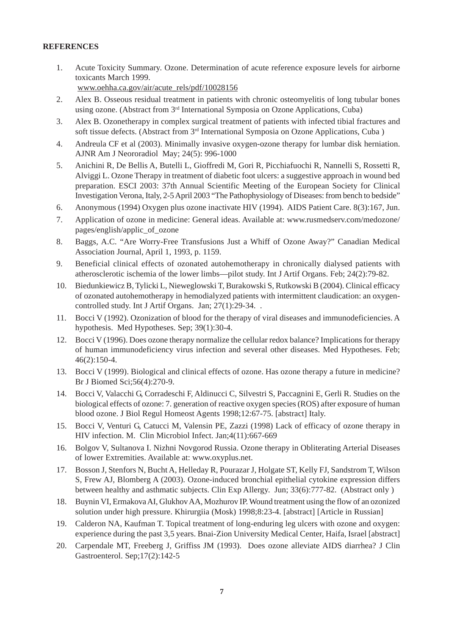#### **REFERENCES**

1. Acute Toxicity Summary. Ozone. Determination of acute reference exposure levels for airborne toxicants March 1999.

www.oehha.ca.gov/air/acute\_rels/pdf/10028156

- 2. Alex B. Osseous residual treatment in patients with chronic osteomyelitis of long tubular bones using ozone. (Abstract from 3<sup>rd</sup> International Symposia on Ozone Applications, Cuba)
- 3. Alex B. Ozonetherapy in complex surgical treatment of patients with infected tibial fractures and soft tissue defects. (Abstract from 3<sup>rd</sup> International Symposia on Ozone Applications, Cuba)
- 4. Andreula CF et al (2003). Minimally invasive oxygen-ozone therapy for lumbar disk herniation. AJNR Am J Neororadiol May; 24(5): 996-1000
- 5. Anichini R, De Bellis A, Butelli L, Gioffredi M, Gori R, Picchiafuochi R, Nannelli S, Rossetti R, Alviggi L. Ozone Therapy in treatment of diabetic foot ulcers: a suggestive approach in wound bed preparation. ESCI 2003: 37th Annual Scientific Meeting of the European Society for Clinical Investigation Verona, Italy, 2-5 April 2003 "The Pathophysiology of Diseases: from bench to bedside"
- 6. Anonymous (1994) Oxygen plus ozone inactivate HIV (1994). AIDS Patient Care. 8(3):167, Jun.
- 7. Application of ozone in medicine: General ideas. Available at: www.rusmedserv.com/medozone/ pages/english/applic\_of\_ozone
- 8. Baggs, A.C. "Are Worry-Free Transfusions Just a Whiff of Ozone Away?" Canadian Medical Association Journal, April 1, 1993, p. 1159.
- 9. Beneficial clinical effects of ozonated autohemotherapy in chronically dialysed patients with atherosclerotic ischemia of the lower limbs—pilot study. Int J Artif Organs. Feb; 24(2):79-82.
- 10. Biedunkiewicz B, Tylicki L, Nieweglowski T, Burakowski S, Rutkowski B (2004). Clinical efficacy of ozonated autohemotherapy in hemodialyzed patients with intermittent claudication: an oxygencontrolled study. Int J Artif Organs. Jan; 27(1):29-34. .
- 11. Bocci V (1992). Ozonization of blood for the therapy of viral diseases and immunodeficiencies. A hypothesis. Med Hypotheses. Sep; 39(1):30-4.
- 12. Bocci V (1996). Does ozone therapy normalize the cellular redox balance? Implications for therapy of human immunodeficiency virus infection and several other diseases. Med Hypotheses. Feb; 46(2):150-4.
- 13. Bocci V (1999). Biological and clinical effects of ozone. Has ozone therapy a future in medicine? Br J Biomed Sci;56(4):270-9.
- 14. Bocci V, Valacchi G, Corradeschi F, Aldinucci C, Silvestri S, Paccagnini E, Gerli R. Studies on the biological effects of ozone: 7. generation of reactive oxygen species (ROS) after exposure of human blood ozone. J Biol Regul Homeost Agents 1998;12:67-75. [abstract] Italy.
- 15. Bocci V, Venturi G, Catucci M, Valensin PE, Zazzi (1998) Lack of efficacy of ozone therapy in HIV infection. M. Clin Microbiol Infect. Jan;4(11):667-669
- 16. Bolgov V, Sultanova I. Nizhni Novgorod Russia. Ozone therapy in Obliterating Arterial Diseases of lower Extremities. Available at: www.oxyplus.net.
- 17. Bosson J, Stenfors N, Bucht A, Helleday R, Pourazar J, Holgate ST, Kelly FJ, Sandstrom T, Wilson S, Frew AJ, Blomberg A (2003). Ozone-induced bronchial epithelial cytokine expression differs between healthy and asthmatic subjects. Clin Exp Allergy. Jun; 33(6):777-82. (Abstract only )
- 18. Buynin VI, Ermakova AI, Glukhov AA, Mozhurov IP. Wound treatment using the flow of an ozonized solution under high pressure. Khirurgiia (Mosk) 1998;8:23-4. [abstract] [Article in Russian]
- 19. Calderon NA, Kaufman T. Topical treatment of long-enduring leg ulcers with ozone and oxygen: experience during the past 3,5 years. Bnai-Zion University Medical Center, Haifa, Israel [abstract]
- 20. Carpendale MT, Freeberg J, Griffiss JM (1993). Does ozone alleviate AIDS diarrhea? J Clin Gastroenterol. Sep;17(2):142-5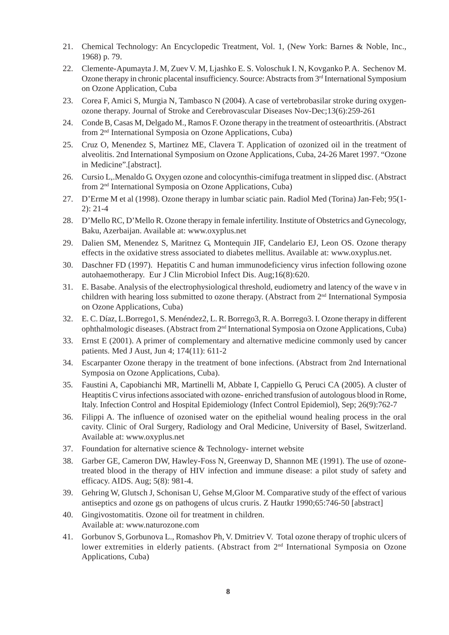- 21. Chemical Technology: An Encyclopedic Treatment, Vol. 1, (New York: Barnes & Noble, Inc., 1968) p. 79.
- 22. Clemente-Apumayta J. M, Zuev V. M, Ljashko E. S. Voloschuk I. N, Kovganko P. A. Sechenov M. Ozone therapy in chronic placental insufficiency. Source: Abstracts from  $3<sup>rd</sup>$  International Symposium on Ozone Application, Cuba
- 23. Corea F, Amici S, Murgia N, Tambasco N (2004). A case of vertebrobasilar stroke during oxygenozone therapy. Journal of Stroke and Cerebrovascular Diseases Nov-Dec;13(6):259-261
- 24. Conde B, Casas M, Delgado M., Ramos F. Ozone therapy in the treatment of osteoarthritis. (Abstract from 2nd International Symposia on Ozone Applications, Cuba)
- 25. Cruz O, Menendez S, Martinez ME, Clavera T. Application of ozonized oil in the treatment of alveolitis. 2nd International Symposium on Ozone Applications, Cuba, 24-26 Maret 1997. "Ozone in Medicine".[abstract].
- 26. Cursio L,.Menaldo G. Oxygen ozone and colocynthis-cimifuga treatment in slipped disc. (Abstract from 2nd International Symposia on Ozone Applications, Cuba)
- 27. D'Erme M et al (1998). Ozone therapy in lumbar sciatic pain. Radiol Med (Torina) Jan-Feb; 95(1- 2): 21-4
- 28. D'Mello RC, D'Mello R. Ozone therapy in female infertility. Institute of Obstetrics and Gynecology, Baku, Azerbaijan. Available at: www.oxyplus.net
- 29. Dalien SM, Menendez S, Maritnez G, Montequin JIF, Candelario EJ, Leon OS. Ozone therapy effects in the oxidative stress associated to diabetes mellitus. Available at: www.oxyplus.net.
- 30. Daschner FD (1997). Hepatitis C and human immunodeficiency virus infection following ozone autohaemotherapy. Eur J Clin Microbiol Infect Dis. Aug;16(8):620.
- 31. E. Basabe. Analysis of the electrophysiological threshold, eudiometry and latency of the wave v in children with hearing loss submitted to ozone therapy. (Abstract from 2<sup>nd</sup> International Symposia on Ozone Applications, Cuba)
- 32. E. C. Díaz, L.Borrego1, S. Menéndez2, L. R. Borrego3, R. A. Borrego3. I. Ozone therapy in different ophthalmologic diseases. (Abstract from 2nd International Symposia on Ozone Applications, Cuba)
- 33. Ernst E (2001). A primer of complementary and alternative medicine commonly used by cancer patients. Med J Aust, Jun 4; 174(11): 611-2
- 34. Escarpanter Ozone therapy in the treatment of bone infections. (Abstract from 2nd International Symposia on Ozone Applications, Cuba).
- 35. Faustini A, Capobianchi MR, Martinelli M, Abbate I, Cappiello G, Peruci CA (2005). A cluster of Heaptitis C virus infections associated with ozone- enriched transfusion of autologous blood in Rome, Italy. Infection Control and Hospital Epidemiology (Infect Control Epidemiol), Sep; 26(9):762-7
- 36. Filippi A. The influence of ozonised water on the epithelial wound healing process in the oral cavity. Clinic of Oral Surgery, Radiology and Oral Medicine, University of Basel, Switzerland. Available at: www.oxyplus.net
- 37. Foundation for alternative science & Technology- internet website
- 38. Garber GE, Cameron DW, Hawley-Foss N, Greenway D, Shannon ME (1991). The use of ozonetreated blood in the therapy of HIV infection and immune disease: a pilot study of safety and efficacy. AIDS. Aug; 5(8): 981-4.
- 39. Gehring W, Glutsch J, Schonisan U, Gehse M,Gloor M. Comparative study of the effect of various antiseptics and ozone gs on pathogens of ulcus cruris. Z Hautkr 1990;65:746-50 [abstract]
- 40. Gingivostomatitis. Ozone oil for treatment in children. Available at: www.naturozone.com
- 41. Gorbunov S, Gorbunova L., Romashov Ph, V. Dmitriev V. Total ozone therapy of trophic ulcers of lower extremities in elderly patients. (Abstract from 2<sup>nd</sup> International Symposia on Ozone Applications, Cuba)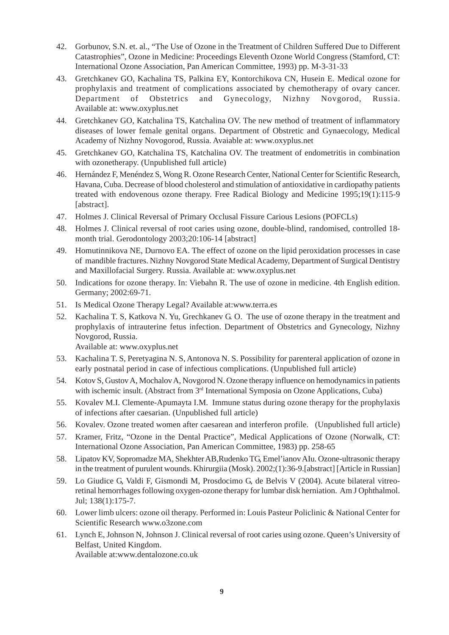- 42. Gorbunov, S.N. et. al., "The Use of Ozone in the Treatment of Children Suffered Due to Different Catastrophies", Ozone in Medicine: Proceedings Eleventh Ozone World Congress (Stamford, CT: International Ozone Association, Pan American Committee, 1993) pp. M-3-31-33
- 43. Gretchkanev GO, Kachalina TS, Palkina EY, Kontorchikova CN, Husein E. Medical ozone for prophylaxis and treatment of complications associated by chemotherapy of ovary cancer. Department of Obstetrics and Gynecology, Nizhny Novgorod, Russia. Available at: www.oxyplus.net
- 44. Gretchkanev GO, Katchalina TS, Katchalina OV. The new method of treatment of inflammatory diseases of lower female genital organs. Department of Obstretic and Gynaecology, Medical Academy of Nizhny Novogorod, Russia. Avaiable at: www.oxyplus.net
- 45. Gretchkanev GO, Katchalina TS, Katchalina OV. The treatment of endometritis in combination with ozonetherapy. (Unpublished full article)
- 46. Hernández F, Menéndez S, Wong R. Ozone Research Center, National Center for Scientific Research, Havana, Cuba. Decrease of blood cholesterol and stimulation of antioxidative in cardiopathy patients treated with endovenous ozone therapy. Free Radical Biology and Medicine 1995;19(1):115-9 [abstract].
- 47. Holmes J. Clinical Reversal of Primary Occlusal Fissure Carious Lesions (POFCLs)
- 48. Holmes J. Clinical reversal of root caries using ozone, double-blind, randomised, controlled 18 month trial. Gerodontology 2003;20:106-14 [abstract]
- 49. Homutinnikova NE, Durnovo EA. The effect of ozone on the lipid peroxidation processes in case of mandible fractures. Nizhny Novgorod State Medical Academy, Department of Surgical Dentistry and Maxillofacial Surgery. Russia. Available at: www.oxyplus.net
- 50. Indications for ozone therapy. In: Viebahn R. The use of ozone in medicine. 4th English edition. Germany; 2002:69-71.
- 51. Is Medical Ozone Therapy Legal? Available at:www.terra.es
- 52. Kachalina T. S, Katkova N. Yu, Grechkanev G. O. The use of ozone therapy in the treatment and prophylaxis of intrauterine fetus infection. Department of Obstetrics and Gynecology, Nizhny Novgorod, Russia.

Available at: www.oxyplus.net

- 53. Kachalina T. S, Peretyagina N. S, Antonova N. S. Possibility for parenteral application of ozone in early postnatal period in case of infectious complications. (Unpublished full article)
- 54. Kotov S, Gustov A, Mochalov A, Novgorod N. Ozone therapy influence on hemodynamics in patients with ischemic insult. (Abstract from 3<sup>rd</sup> International Symposia on Ozone Applications, Cuba)
- 55. Kovalev M.I. Clemente-Apumayta I.M. Immune status during ozone therapy for the prophylaxis of infections after caesarian. (Unpublished full article)
- 56. Kovalev. Ozone treated women after caesarean and interferon profile. (Unpublished full article)
- 57. Kramer, Fritz, "Ozone in the Dental Practice", Medical Applications of Ozone (Norwalk, CT: International Ozone Association, Pan American Committee, 1983) pp. 258-65
- 58. Lipatov KV, Sopromadze MA, Shekhter AB,Rudenko TG, Emel'ianov AIu. Ozone-ultrasonic therapy in the treatment of purulent wounds. Khirurgiia (Mosk). 2002;(1):36-9.[abstract] [Article in Russian]
- 59. Lo Giudice G, Valdi F, Gismondi M, Prosdocimo G, de Belvis V (2004). Acute bilateral vitreoretinal hemorrhages following oxygen-ozone therapy for lumbar disk herniation. Am J Ophthalmol. Jul; 138(1):175-7.
- 60. Lower limb ulcers: ozone oil therapy. Performed in: Louis Pasteur Policlinic & National Center for Scientific Research www.o3zone.com
- 61. Lynch E, Johnson N, Johnson J. Clinical reversal of root caries using ozone. Queen's University of Belfast, United Kingdom. Available at:www.dentalozone.co.uk

**9**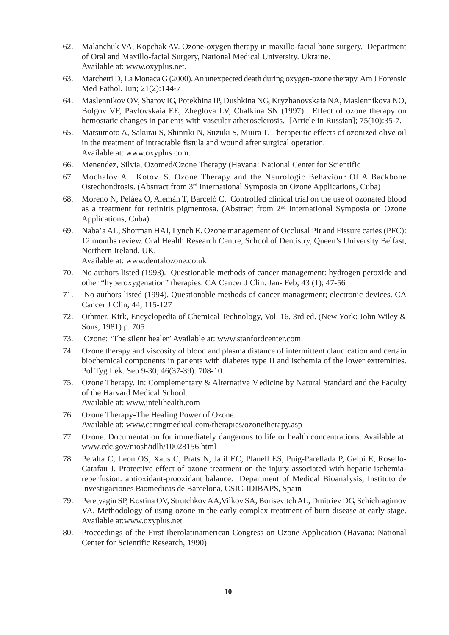- 62. Malanchuk VA, Kopchak AV. Ozone-oxygen therapy in maxillo-facial bone surgery. Department of Oral and Maxillo-facial Surgery, National Medical University. Ukraine. Available at: www.oxyplus.net.
- 63. Marchetti D, La Monaca G (2000). An unexpected death during oxygen-ozone therapy. Am J Forensic Med Pathol. Jun; 21(2):144-7
- 64. Maslennikov OV, Sharov IG, Potekhina IP, Dushkina NG, Kryzhanovskaia NA, Maslennikova NO, Bolgov VF, Pavlovskaia EE, Zheglova LV, Chalkina SN (1997). Effect of ozone therapy on hemostatic changes in patients with vascular atherosclerosis. [Article in Russian]; 75(10):35-7.
- 65. Matsumoto A, Sakurai S, Shinriki N, Suzuki S, Miura T. Therapeutic effects of ozonized olive oil in the treatment of intractable fistula and wound after surgical operation. Available at: www.oxyplus.com.
- 66. Menendez, Silvia, Ozomed/Ozone Therapy (Havana: National Center for Scientific
- 67. Mochalov A. Kotov. S. Ozone Therapy and the Neurologic Behaviour Of A Backbone Ostechondrosis. (Abstract from 3rd International Symposia on Ozone Applications, Cuba)
- 68. Moreno N, Peláez O, Alemán T, Barceló C. Controlled clinical trial on the use of ozonated blood as a treatment for retinitis pigmentosa. (Abstract from 2nd International Symposia on Ozone Applications, Cuba)
- 69. Naba'a AL, Shorman HAI, Lynch E. Ozone management of Occlusal Pit and Fissure caries (PFC): 12 months review. Oral Health Research Centre, School of Dentistry, Queen's University Belfast, Northern Ireland, UK.

Available at: www.dentalozone.co.uk

- 70. No authors listed (1993). Questionable methods of cancer management: hydrogen peroxide and other "hyperoxygenation" therapies. CA Cancer J Clin. Jan- Feb; 43 (1); 47-56
- 71. No authors listed (1994). Questionable methods of cancer management; electronic devices. CA Cancer J Clin; 44; 115-127
- 72. Othmer, Kirk, Encyclopedia of Chemical Technology, Vol. 16, 3rd ed. (New York: John Wiley & Sons, 1981) p. 705
- 73. Ozone: 'The silent healer' Available at: www.stanfordcenter.com.
- 74. Ozone therapy and viscosity of blood and plasma distance of intermittent claudication and certain biochemical components in patients with diabetes type II and ischemia of the lower extremities. Pol Tyg Lek. Sep 9-30; 46(37-39): 708-10.
- 75. Ozone Therapy. In: Complementary & Alternative Medicine by Natural Standard and the Faculty of the Harvard Medical School. Available at: www.intelihealth.com
- 76. Ozone Therapy-The Healing Power of Ozone. Available at: www.caringmedical.com/therapies/ozonetherapy.asp
- 77. Ozone. Documentation for immediately dangerous to life or health concentrations. Available at: www.cdc.gov/niosh/idlh/10028156.html
- 78. Peralta C, Leon OS, Xaus C, Prats N, Jalil EC, Planell ES, Puig-Parellada P, Gelpi E, Rosello-Catafau J. Protective effect of ozone treatment on the injury associated with hepatic ischemiareperfusion: antioxidant-prooxidant balance. Department of Medical Bioanalysis, Instituto de Investigaciones Biomedicas de Barcelona, CSIC-IDIBAPS, Spain
- 79. Peretyagin SP, Kostina OV, Strutchkov AA,Vilkov SA, Borisevitch AL, Dmitriev DG, Schichragimov VA. Methodology of using ozone in the early complex treatment of burn disease at early stage. Available at:www.oxyplus.net
- 80. Proceedings of the First Iberolatinamerican Congress on Ozone Application (Havana: National Center for Scientific Research, 1990)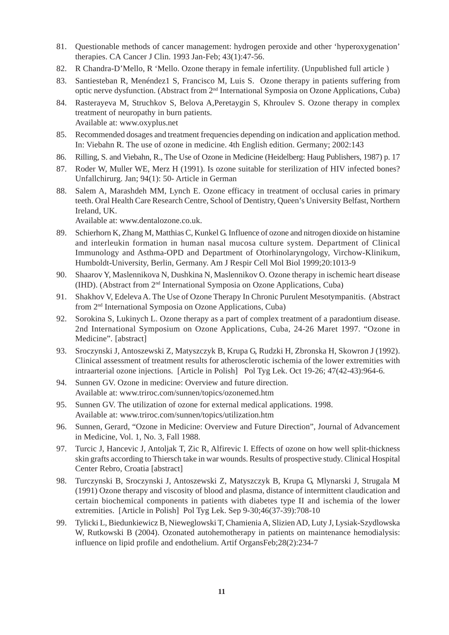- 81. Questionable methods of cancer management: hydrogen peroxide and other 'hyperoxygenation' therapies. CA Cancer J Clin. 1993 Jan-Feb; 43(1):47-56.
- 82. R Chandra-D'Mello, R 'Mello. Ozone therapy in female infertility. (Unpublished full article )
- 83. Santiesteban R, Menéndez1 S, Francisco M, Luis S. Ozone therapy in patients suffering from optic nerve dysfunction. (Abstract from 2nd International Symposia on Ozone Applications, Cuba)
- 84. Rasterayeva M, Struchkov S, Belova A,Peretaygin S, Khroulev S. Ozone therapy in complex treatment of neuropathy in burn patients. Available at: www.oxyplus.net
- 85. Recommended dosages and treatment frequencies depending on indication and application method. In: Viebahn R. The use of ozone in medicine. 4th English edition. Germany; 2002:143
- 86. Rilling, S. and Viebahn, R., The Use of Ozone in Medicine (Heidelberg: Haug Publishers, 1987) p. 17
- 87. Roder W, Muller WE, Merz H (1991). Is ozone suitable for sterilization of HIV infected bones? Unfallchirurg. Jan; 94(1): 50- Article in German
- 88. Salem A, Marashdeh MM, Lynch E. Ozone efficacy in treatment of occlusal caries in primary teeth. Oral Health Care Research Centre, School of Dentistry, Queen's University Belfast, Northern Ireland, UK.

Available at: www.dentalozone.co.uk.

- 89. Schierhorn K, Zhang M, Matthias C, Kunkel G. Influence of ozone and nitrogen dioxide on histamine and interleukin formation in human nasal mucosa culture system. Department of Clinical Immunology and Asthma-OPD and Department of Otorhinolaryngology, Virchow-Klinikum, Humboldt-University, Berlin, Germany. Am J Respir Cell Mol Biol 1999;20:1013-9
- 90. Shaarov Y, Maslennikova N, Dushkina N, Maslennikov O. Ozone therapy in ischemic heart disease (IHD). (Abstract from 2nd International Symposia on Ozone Applications, Cuba)
- 91. Shakhov V, Edeleva A. The Use of Ozone Therapy In Chronic Purulent Mesotympanitis. (Abstract from 2nd International Symposia on Ozone Applications, Cuba)
- 92. Sorokina S, Lukinych L. Ozone therapy as a part of complex treatment of a paradontium disease. 2nd International Symposium on Ozone Applications, Cuba, 24-26 Maret 1997. "Ozone in Medicine". [abstract]
- 93. Sroczynski J, Antoszewski Z, Matyszczyk B, Krupa G, Rudzki H, Zbronska H, Skowron J (1992). Clinical assessment of treatment results for atherosclerotic ischemia of the lower extremities with intraarterial ozone injections. [Article in Polish] Pol Tyg Lek. Oct 19-26; 47(42-43):964-6.
- 94. Sunnen GV. Ozone in medicine: Overview and future direction. Available at: www.triroc.com/sunnen/topics/ozonemed.htm
- 95. Sunnen GV. The utilization of ozone for external medical applications. 1998. Available at: www.triroc.com/sunnen/topics/utilization.htm
- 96. Sunnen, Gerard, "Ozone in Medicine: Overview and Future Direction", Journal of Advancement in Medicine, Vol. 1, No. 3, Fall 1988.
- 97. Turcic J, Hancevic J, Antoljak T, Zic R, Alfirevic I. Effects of ozone on how well split-thickness skin grafts according to Thiersch take in war wounds. Results of prospective study. Clinical Hospital Center Rebro, Croatia [abstract]
- 98. Turczynski B, Sroczynski J, Antoszewski Z, Matyszczyk B, Krupa G, Mlynarski J, Strugala M (1991) Ozone therapy and viscosity of blood and plasma, distance of intermittent claudication and certain biochemical components in patients with diabetes type II and ischemia of the lower extremities. [Article in Polish] Pol Tyg Lek. Sep 9-30;46(37-39):708-10
- 99. Tylicki L, Biedunkiewicz B, Nieweglowski T, Chamienia A, Slizien AD, Luty J, Lysiak-Szydlowska W, Rutkowski B (2004). Ozonated autohemotherapy in patients on maintenance hemodialysis: influence on lipid profile and endothelium. Artif OrgansFeb;28(2):234-7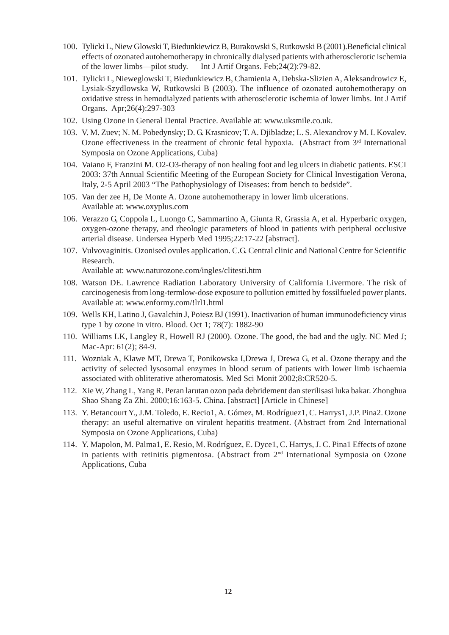- 100. Tylicki L, Niew Glowski T, Biedunkiewicz B, Burakowski S, Rutkowski B (2001).Beneficial clinical effects of ozonated autohemotherapy in chronically dialysed patients with atherosclerotic ischemia of the lower limbs—pilot study. Int J Artif Organs. Feb;24(2):79-82.
- 101. Tylicki L, Nieweglowski T, Biedunkiewicz B, Chamienia A, Debska-Slizien A, Aleksandrowicz E, Lysiak-Szydlowska W, Rutkowski B (2003). The influence of ozonated autohemotherapy on oxidative stress in hemodialyzed patients with atherosclerotic ischemia of lower limbs. Int J Artif Organs. Apr;26(4):297-303
- 102. Using Ozone in General Dental Practice. Available at: www.uksmile.co.uk.
- 103. V. M. Zuev; N. M. Pobedynsky; D. G. Krasnicov; T. A. Djibladze; L. S. Alexandrov y M. I. Kovalev. Ozone effectiveness in the treatment of chronic fetal hypoxia. (Abstract from  $3<sup>rd</sup>$  International Symposia on Ozone Applications, Cuba)
- 104. Vaiano F, Franzini M. O2-O3-therapy of non healing foot and leg ulcers in diabetic patients. ESCI 2003: 37th Annual Scientific Meeting of the European Society for Clinical Investigation Verona, Italy, 2-5 April 2003 "The Pathophysiology of Diseases: from bench to bedside".
- 105. Van der zee H, De Monte A. Ozone autohemotherapy in lower limb ulcerations. Available at: www.oxyplus.com
- 106. Verazzo G, Coppola L, Luongo C, Sammartino A, Giunta R, Grassia A, et al. Hyperbaric oxygen, oxygen-ozone therapy, and rheologic parameters of blood in patients with peripheral occlusive arterial disease. Undersea Hyperb Med 1995;22:17-22 [abstract].
- 107. Vulvovaginitis. Ozonised ovules application. C.G. Central clinic and National Centre for Scientific Research.

Available at: www.naturozone.com/ingles/clitesti.htm

- 108. Watson DE. Lawrence Radiation Laboratory University of California Livermore. The risk of carcinogenesis from long-termlow-dose exposure to pollution emitted by fossilfueled power plants. Available at: www.enformy.com/!lrl1.html
- 109. Wells KH, Latino J, Gavalchin J, Poiesz BJ (1991). Inactivation of human immunodeficiency virus type 1 by ozone in vitro. Blood. Oct 1; 78(7): 1882-90
- 110. Williams LK, Langley R, Howell RJ (2000). Ozone. The good, the bad and the ugly. NC Med J; Mac-Apr: 61(2); 84-9.
- 111. Wozniak A, Klawe MT, Drewa T, Ponikowska I,Drewa J, Drewa G, et al. Ozone therapy and the activity of selected lysosomal enzymes in blood serum of patients with lower limb ischaemia associated with obliterative atheromatosis. Med Sci Monit 2002;8:CR520-5.
- 112. Xie W, Zhang L, Yang R. Peran larutan ozon pada debridement dan sterilisasi luka bakar. Zhonghua Shao Shang Za Zhi. 2000;16:163-5. China. [abstract] [Article in Chinese]
- 113. Y. Betancourt Y., J.M. Toledo, E. Recio1, A. Gómez, M. Rodríguez1, C. Harrys1, J.P. Pina2. Ozone therapy: an useful alternative on virulent hepatitis treatment. (Abstract from 2nd International Symposia on Ozone Applications, Cuba)
- 114. Y. Mapolon, M. Palma1, E. Resio, M. Rodríguez, E. Dyce1, C. Harrys, J. C. Pina1 Effects of ozone in patients with retinitis pigmentosa. (Abstract from 2<sup>nd</sup> International Symposia on Ozone Applications, Cuba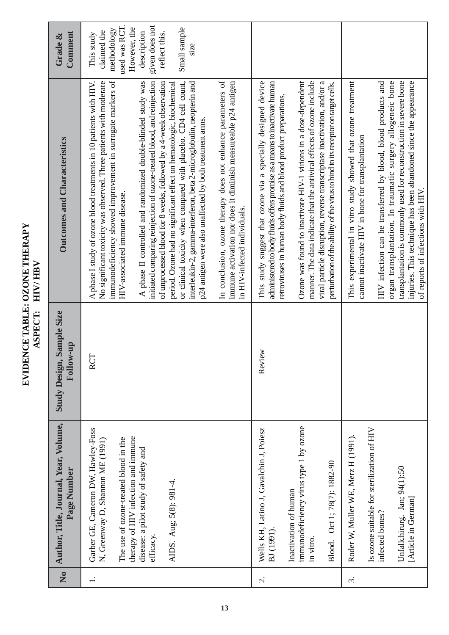EVIDENCE TABLE: OZONE THERAPY<br>ASPECT: HIV/HBV **EVIDENCE TABLE: OZONE THERAPY ASPECT: HIV/ HBV**

| Comment<br>Grade &                                   | used was RCT.<br>given does not<br>Small sample<br>However, the<br>methodology<br>claimed the<br>description<br>reflect this.<br>This study<br>S1ZC                                                                                                                                                                                                                                                                                                                                                                                                                                                                                                                                                                                                                                                                                                                                                         |                                                                                                                                                                                                                                                                                                                                                                                                                                                                                                                             |                                                                                                                                                                                                                                                                                                                                                                                                                                   |
|------------------------------------------------------|-------------------------------------------------------------------------------------------------------------------------------------------------------------------------------------------------------------------------------------------------------------------------------------------------------------------------------------------------------------------------------------------------------------------------------------------------------------------------------------------------------------------------------------------------------------------------------------------------------------------------------------------------------------------------------------------------------------------------------------------------------------------------------------------------------------------------------------------------------------------------------------------------------------|-----------------------------------------------------------------------------------------------------------------------------------------------------------------------------------------------------------------------------------------------------------------------------------------------------------------------------------------------------------------------------------------------------------------------------------------------------------------------------------------------------------------------------|-----------------------------------------------------------------------------------------------------------------------------------------------------------------------------------------------------------------------------------------------------------------------------------------------------------------------------------------------------------------------------------------------------------------------------------|
| <b>Outcomes and Characteristics</b>                  | In conclusion, ozone therapy does not enhance parameters of<br>immunodeficiency showed improvement in surrogate markers of<br>No significant toxicity was observed. Three patients with moderate<br>A phase II controlled and randomized double-blinded study was<br>initiated comparing reinjection of ozone-treated blood, and reinjection<br>of unprocessed blood for 8 weeks, followed by a 4-week observation<br>or clinical toxicity when compared with placebo. CD4 cell count,<br>interleukin-2, gamma-interferon, beta 2-microglobulin, neopterin and<br>immune activation nor does it diminish measureable p24 antigen<br>A phase I study of ozone blood treatments in 10 patients with HIV.<br>period. Ozone had no significant effect on hematologic, biochemical<br>p24 antigen were also unaffected by both treatment arms.<br>HIV-associated immune disease.<br>in HIV-infected individuals. | Ozone was found to inactivate HIV-1 virions in a dose-dependent<br>This study suggest that ozone via a specially designed device<br>administered to body fluids offers promise as a means to inactivate human<br>manner. The data indicate that the antiviral effects of ozone include<br>viral particle disruption, reverse transcriptase inactivation, and/or a<br>perturbation of the ability of the virus to bind to its receptor on target cells.<br>retroviruses in human body fluids and blood product preparations. | This experimental in vitro study showed that ozone treatment<br>HIV infection can be transferred by blood, blood products and<br>organ transplantation. In traumatic surgery allogeneic bone<br>transplantation is commonly used for reconstruction in severe bone<br>injuries. This technique has been abandoned since the appearance<br>cannot inactivate HIV in bone for transplantation<br>of reports of infections with HIV. |
| Sample Size<br>Follow-up<br><b>Study Design,</b>     | <b>RCT</b>                                                                                                                                                                                                                                                                                                                                                                                                                                                                                                                                                                                                                                                                                                                                                                                                                                                                                                  | ξÑ<br>Revi                                                                                                                                                                                                                                                                                                                                                                                                                                                                                                                  |                                                                                                                                                                                                                                                                                                                                                                                                                                   |
| Author, Title, Journal, Year, Volume,<br>Page Number | Garber GE, Cameron DW, Hawley-Foss<br>therapy of HIV infection and immune<br>The use of ozone-treated blood in the<br>N, Greenway D, Shannon ME (1991)<br>disease: a pilot study of safety and<br>AIDS. Aug; 5(8): 981-4.<br>efficacy.                                                                                                                                                                                                                                                                                                                                                                                                                                                                                                                                                                                                                                                                      | immunodeficiency virus type 1 by ozone<br>Wells KH, Latino J, Gavalchin J, Poiesz<br>Oct 1; 78(7): 1882-90<br>Inactivation of human<br>BJ (1991)<br>in vitro.<br>Blood.                                                                                                                                                                                                                                                                                                                                                     | Is ozone suitable for sterilization of HIV<br>Roder W, Muller WE, Merz H (1991).<br>Unfallchirurg. Jan; 94(1):50<br>[Article in German]<br>infected bones?                                                                                                                                                                                                                                                                        |
| $\overline{\mathsf{X}}$                              |                                                                                                                                                                                                                                                                                                                                                                                                                                                                                                                                                                                                                                                                                                                                                                                                                                                                                                             | $\overline{\mathcal{C}}$                                                                                                                                                                                                                                                                                                                                                                                                                                                                                                    | $\dot{\epsilon}$                                                                                                                                                                                                                                                                                                                                                                                                                  |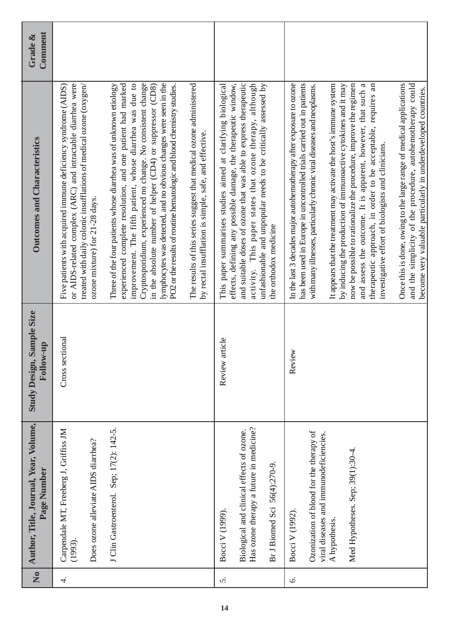| $\overline{\mathsf{z}}$ | Author, Title, Journal, Year, Volume,<br>Page Number                                     | , Sample Size<br>Follow-up<br><b>Study Design,</b> | <b>Outcomes and Characteristics</b>                                                                                                                                                                                                                                                                                                                                                                                                                                           | Comment<br>Grade & |
|-------------------------|------------------------------------------------------------------------------------------|----------------------------------------------------|-------------------------------------------------------------------------------------------------------------------------------------------------------------------------------------------------------------------------------------------------------------------------------------------------------------------------------------------------------------------------------------------------------------------------------------------------------------------------------|--------------------|
| $\overline{4}$          | Carpendale MT, Freeberg J, Griffiss JM<br>Does ozone alleviate AIDS diarrhea?<br>(1993). | Cross sectional                                    | Five patients with acquired immune deficiency syndrome (AIDS)<br>or AIDS-related complex (ARC) and intractable diarrhea were<br>treated with daily colonic insufflations of medical ozone (oxygen/<br>ozone mixture) for 21-28 days.                                                                                                                                                                                                                                          |                    |
|                         |                                                                                          |                                                    |                                                                                                                                                                                                                                                                                                                                                                                                                                                                               |                    |
|                         | J Clin Gastroenterol. Sep; 17(2): 142-5.                                                 |                                                    | due to<br>Cryptosporidium, experienced no change. No consistent change<br>lymphocytes was detected, and no obvious changes were seen in the<br>in the absolute number of helper (CD4) or suppressor (CD8)<br>Three of the four patients whose diarrhea was of unknown etiology<br>experienced complete resolution, and one patient had marked<br>PO2 or the results of routine hematologic and blood chemistry studies.<br>improvement. The fifth patient, whose diarrhea was |                    |
|                         |                                                                                          |                                                    | The results of this series suggest that medical ozone administered<br>by rectal insufflation is simple, safe, and effective.                                                                                                                                                                                                                                                                                                                                                  |                    |
| ς.                      | Bocci V (1999).                                                                          | article<br>Review                                  | This paper summarises studies aimed at clarifying biological                                                                                                                                                                                                                                                                                                                                                                                                                  |                    |
|                         | Has ozone therapy a future in medicine?<br>Biological and clinical effects of ozone.     |                                                    | effects, defining any possible damage, the therapeutic window,<br>and suitable doses of ozone that was able to express therapeutic<br>activity. This paper states that ozone therapy, although                                                                                                                                                                                                                                                                                |                    |
|                         | Br J Biomed Sci 56(4):270-9.                                                             |                                                    | unfashionable and unpopular needs to be critically assessed by<br>the orthodox medicine                                                                                                                                                                                                                                                                                                                                                                                       |                    |
| 6.                      | Bocci V (1992).                                                                          | Review                                             | In the last 3 decades major autohemotherapy after exposure to ozone                                                                                                                                                                                                                                                                                                                                                                                                           |                    |
|                         | Ozonization of blood for the therapy of<br>viral diseases and immunodeficiencies.        |                                                    | has been used in Europe in uncontrolled trials carried out in patients<br>with many illnesses, particularly chronic viral diseases and neoplasms.                                                                                                                                                                                                                                                                                                                             |                    |
|                         | A hypothesis.                                                                            |                                                    | It appears that the treatment may activate the host's immune system<br>by inducing the production of immunoactive cytokines and it may                                                                                                                                                                                                                                                                                                                                        |                    |
|                         | Med Hypotheses. Sep; 39(1):30-4.                                                         |                                                    | and assess the outcome. It is apparent, however, that such a<br>now be possible to rationalize the procedure, improve the regimen                                                                                                                                                                                                                                                                                                                                             |                    |
|                         |                                                                                          |                                                    | therapeutic approach, in order to be acceptable, requires an<br>investigative effort of biologists and clinicians.                                                                                                                                                                                                                                                                                                                                                            |                    |
|                         |                                                                                          |                                                    | Once this is done, owing to the large range of medical applications                                                                                                                                                                                                                                                                                                                                                                                                           |                    |
|                         |                                                                                          |                                                    | and the simplicity of the procedure, autohemotherapy could<br>become very valuable particularly in underdeveloped countries.                                                                                                                                                                                                                                                                                                                                                  |                    |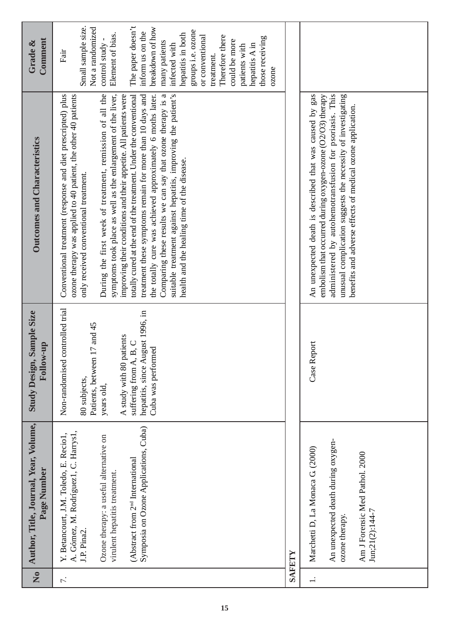| $\overline{\mathsf{z}}$  | Author, Title, Journal, Year, Volume,<br>Page Number                                                                                                                                                                                                              | Sample Size<br>Follow-up<br><b>Study Design,</b>                                                                                                                                                                        | <b>Outcomes and Characteristics</b>                                                                                                                                                                                                                                                                                                                                                                                                                                                                                                                                                                                                                                                                                                                  | Comment<br>Grade &                                                                                                                                                                                                                                                                                                                                               |
|--------------------------|-------------------------------------------------------------------------------------------------------------------------------------------------------------------------------------------------------------------------------------------------------------------|-------------------------------------------------------------------------------------------------------------------------------------------------------------------------------------------------------------------------|------------------------------------------------------------------------------------------------------------------------------------------------------------------------------------------------------------------------------------------------------------------------------------------------------------------------------------------------------------------------------------------------------------------------------------------------------------------------------------------------------------------------------------------------------------------------------------------------------------------------------------------------------------------------------------------------------------------------------------------------------|------------------------------------------------------------------------------------------------------------------------------------------------------------------------------------------------------------------------------------------------------------------------------------------------------------------------------------------------------------------|
| 7.                       | Symposia on Ozone Applications, Cuba)<br>A. Gómez, M. Rodríguez1, C. Harrys1,<br>Y. Betancourt, J.M. Toledo, E. Recio1,<br>Ozone therapy: a useful alternative on<br>(Abstract from 2 <sup>nd</sup> International<br>virulent hepatitis treatment.<br>J.P. Pina2. | Non-randomised controlled trial<br>igust 1996, in<br>17 and 45<br>A study with 80 patients<br>B, C<br>Cuba was performed<br>Patients, between<br>hepatitis, since Au<br>suffering from A,<br>80 subjects,<br>years old, | totally cured at the end of the treatment. Under the conventional<br>During the first week of treatment, remission of all the<br>symptoms took place as well as the enlargement of the liver,<br>treatment these symptoms remain for more than 10 days and<br>Comparing these results we can say that ozone therapy is a<br>suitable treatment against hepatitis, improving the patient's<br>Conventional treatment (response and diet prescripted) plus<br>ozone therapy was applied to 40 patient, the other 40 patients<br>improving their conditions and their appetite. All patients were<br>the totally cure was achieved approximately 6 moths later.<br>health and the healing time of the disease.<br>only received conventional treatment. | The paper doesn't<br>Small sample size.<br>Not a randomized<br>breakdown of how<br>groups i.e. ozone<br>inform us on the<br>hepatitis in both<br>Element of bias.<br>or conventional<br>Therefore there<br>those receiving<br>could be more<br>many patients<br>hepatitis A in<br>infected with<br>control study<br>patients with<br>Fair<br>treatment.<br>ozone |
|                          | SAFETY                                                                                                                                                                                                                                                            |                                                                                                                                                                                                                         |                                                                                                                                                                                                                                                                                                                                                                                                                                                                                                                                                                                                                                                                                                                                                      |                                                                                                                                                                                                                                                                                                                                                                  |
| $\overline{\phantom{a}}$ | An unexpected death during oxygen-<br>Marchetti D, La Monaca G. (2000)<br>Am J Forensic Med Pathol. 2000<br>$J\text{un}:21(2):144-7$<br>ozone therapy.                                                                                                            | Case Report                                                                                                                                                                                                             | administered by autohemotransfusion for psoriasis. This<br>An unexpected death is described that was caused by gas<br>unusual complication suggests the necessity of investigating<br>embolism that occurred during oxygen-ozone (O2/O3) therapy<br>benefits and adverse effects of medical ozone application.                                                                                                                                                                                                                                                                                                                                                                                                                                       |                                                                                                                                                                                                                                                                                                                                                                  |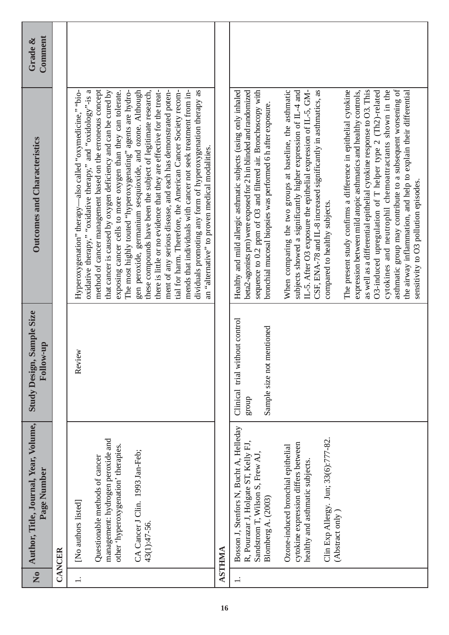| $\overline{\mathbf{z}}$ | Author, Title, Journal, Year, Volume,<br>Page Number                                                                                                                                 | Sample Size<br><b>Follow-up</b><br><b>Study Design,</b>                 | <b>Outcomes and Characteristics</b>                                                                                                                                                                                                                                                                                                                                                                                                                                                                                                                                                                                                                                                                                                                                                                      | Comment<br>Grade & |
|-------------------------|--------------------------------------------------------------------------------------------------------------------------------------------------------------------------------------|-------------------------------------------------------------------------|----------------------------------------------------------------------------------------------------------------------------------------------------------------------------------------------------------------------------------------------------------------------------------------------------------------------------------------------------------------------------------------------------------------------------------------------------------------------------------------------------------------------------------------------------------------------------------------------------------------------------------------------------------------------------------------------------------------------------------------------------------------------------------------------------------|--------------------|
|                         | CANCER                                                                                                                                                                               |                                                                         |                                                                                                                                                                                                                                                                                                                                                                                                                                                                                                                                                                                                                                                                                                                                                                                                          |                    |
|                         | management: hydrogen peroxide and<br>other 'hyperoxygenation' therapies.<br>CA Cancer J Clin. 1993 Jan-Feb;<br>Questionable methods of cancer<br>[No authors listed]<br>43(1):47-56. | Review                                                                  | method of cancer management based on the erroneous concept<br>oxidative therapy," "oxidative therapy," and "oxidology"-is a<br>that cancer is caused by oxygen deficiency and can be cured by<br>gen peroxide, germanium sesquioxide, and ozone. Although<br>these compounds have been the subject of legitimate research,<br>exposing cancer cells to more oxygen than they can tolerate.<br>there is little or no evidence that they are effective for the treat-<br>ment of any serious disease, and each has demonstrated poten-<br>-also called "oxymedicine," "bio-<br>The most highly touted "hyperoxygenating" agents are hydro-<br>tial for harm. Therefore, the American Cancer Society recom-<br>mends that individuals with cancer not seek treatment from in-<br>Hyperoxygenation" therapy- |                    |
|                         |                                                                                                                                                                                      |                                                                         | dividuals promoting any form of hyperoxygenation therapy as<br>an "alternative" to proven medical modalities.                                                                                                                                                                                                                                                                                                                                                                                                                                                                                                                                                                                                                                                                                            |                    |
|                         | <b>ASTHMA</b>                                                                                                                                                                        |                                                                         |                                                                                                                                                                                                                                                                                                                                                                                                                                                                                                                                                                                                                                                                                                                                                                                                          |                    |
|                         | Bosson J, Stenfors N, Bucht A, Helleday<br>R, Pourazar J, Holgate ST, Kelly FJ,<br>Sandstrom T, Wilson S, Frew AJ,<br>Blomberg A. (2003)                                             | Clinical trial without control<br>mentioned<br>Sample size not<br>dnora | sequence to 0.2 ppm of O3 and filtered air. Bronchoscopy with<br>Healthy and mild allergic asthmatic subjects (using only inhaled<br>beta2-agonists prn) were exposed for 2 h in blinded and randomized<br>bronchial mucosal biopsies was performed 6 h after exposure.                                                                                                                                                                                                                                                                                                                                                                                                                                                                                                                                  |                    |
|                         | Clin Exp Allergy. Jun; 33(6):777-82.<br>cytokine expression differs between<br>Ozone-induced bronchial epithelial<br>healthy and asthmatic subjects.<br>(Abstract only               |                                                                         | When comparing the two groups at baseline, the asthmatic<br>subjects showed a significantly higher expression of IL-4 and<br>IL-5. After O3 exposure the epithelial expression of IL-5, GM-<br>CSF, ENA-78 and IL-8 increased significantly in asthmatics, as<br>compared to healthy subjects.                                                                                                                                                                                                                                                                                                                                                                                                                                                                                                           |                    |
|                         |                                                                                                                                                                                      |                                                                         | asthmatic group may contribute to a subsequent worsening of<br>The present study confirms a difference in epithelial cytokine<br>expression between mild atopic asthmatics and healthy controls,<br>as well as a differential epithelial cytokine response to O3. This<br>cytokines and neutrophil chemoattractants shown in the<br>O3-induced upregulation of T helper type 2 (Th2)-related<br>the airway inflammation, and help to explain their differential<br>sensitivity to O3 pollution episodes.                                                                                                                                                                                                                                                                                                 |                    |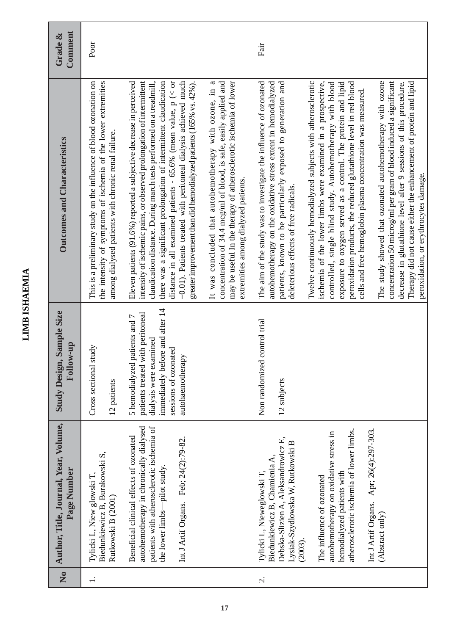#### Comment **Comment** Grade & **Outcomes and Characteristics Grade &** Poor Fair It was concluded that autohemotherapy with ozone, in a there was a significant prolongation of intermittent claudication distance in all examined patients - 65.6% (mean value,  $p$  (< or =0.01). Patients treated with peritoneal dialysis achieved much concentration of 34.4 mcg/ml of blood, is safe, easily applied and may be useful In the therapy of atherosclerotic ischemia of lower The aim of the study was to investigate the influence of ozonated patients, known to be particularly exposed to generation and Twelve continuously hemodialyzed subjects with atherosclerotic peroxidation products, the reduced glutathione level in red blood The study showed that ozonated autohemotherapy with ozone This is a preliminary study on the influence of blood ozonation on This is a preliminary study on the influence of blood ozonation on the intensity of symptoms of ischemia of the lower extremities Eleven patients (91.6%) reported a subjective decrease in perceived Eleven patients (91.6%) reported a subjective decrease in perceived intensity of ischemic pains, or observed prolongation of intermittent intensity of ischemic pains, or observed prolongation of intermittent there was a significant prolongation of intermittent claudication distance in all examined patients - 65.6% (mean value,  $p \ll or$ =0.01). Patients treated with peritoneal dialysis achieved much greater improvement than did hemodialyzed patients (165% vs. 42%). It was concluded that autohemotherapy with ozone, in a concentration of 34.4 mcg/ml of blood, is safe, easily applied and may be useful In the therapy of atherosclerotic ischemia of lower The aim of the study was to investigate the influence of ozonated autohemotherapy on the oxidative stress extent in hemodialyzed autohemotherapy on the oxidative stress extent in hemodialyzed patients, known to be particularly exposed to generation and ischemia of the lower limbs were examined in a prospective, controlled, single blind study. Autohemotherapy with blood controlled, single blind study. Autohemotherapy with blood exposure to oxygen served as a control. The protein and lipid exposure to oxygen served as a control. The protein and lipid peroxidation products, the reduced glutathione level in red blood The study showed that ozonated autohemotherapy with ozone concentration 50 microg/ml per gram of blood induced a significant concentration 50 microg/ml per gram of blood induced a significant Therapy did not cause either the enhancement of protein and lipid Therapy did not cause either the enhancement of protein and lipid the intensity of symptoms of ischemia of the lower extremities claudication distance. During march tests performed on a treadmill, claudication distance. During march tests performed on a treadmill, greater improvement than did hemodialyzed patients (165% vs. 42%). Twelve continuously hemodialyzed subjects with atherosclerotic ischemia of the lower limbs were examined in a prospective, decrease in glutathione level after 9 sessions of this procedure. decrease in glutathione level after 9 sessions of this procedure. cells and free hemoglobin plasma concentration was measured. cells and free hemoglobin plasma concentration was measured. among dialysed patients with chronic renal failure. among dialysed patients with chronic renal failure. **Outcomes and Characteristics** peroxidation, or erythrocytes damage. peroxidation, or erythrocytes damage. extremities among dialyzed patients. extremities among dialyzed patients. deleterious effects of free radicals. deleterious effects of free radicals. immediately before and after 14 immediately before and after 14 Study Design, Sample Size **Study Design, Sample Size** 5 hemodialyzed patients and 7 patients treated with peritoneal patients treated with peritoneal 5 hemodialyzed patients and 7 Non randomized control trial Non randomized control trial dialysis were examined dialysis were examined **Follow-up** Cross sectional study Cross sectional study sessions of ozonated sessions of ozonated autohaemotherapy autohaemotherapy 12 patients 12 subjects No **Author, Title, Journal, Year, Volume, Author, Title, Journal, Year, Volume,** autohemotherapy in chronically dialysed patients with atherosclerotic ischemia of autohemotherapy in chronically dialysed patients with atherosclerotic ischemia of atherosclerotic ischemia of lower limbs. atherosclerotic ischemia of lower limbs. Int J Artif Organs. Apr; 26(4):297-303. Int J Artif Organs. Apr; 26(4):297-303. autohemotherapy on oxidative stress in autohemotherapy on oxidative stress in Beneficial clinical effects of ozonated Beneficial clinical effects of ozonated Int J Artif Organs. Feb; 24(2):79-82. Debska-Slizien A, Aleksandrowicz E, Int J Artif Organs. Feb; 24(2):79-82. Debska-Slizien A, Aleksandrowicz E, Lysiak-Szydlowska W, Rutkowski B Lysiak-Szydlowska W, Rutkowski B Biedunkiewicz B, Burakowski S, Biedunkiewicz B, Burakowski S, Biedunkiewicz B, Chamienia A, Biedunkiewicz B, Chamienia A, the lower limbs-pilot study. Page Number the lower limbs—pilot study. **Page Number** Tylicki L, Nieweglowski T, hemodialyzed patients with hemodialyzed patients with Tylicki L, Niew glowski T, Tylicki L, Nieweglowski T, Tylicki L, Niew glowski T, The influence of ozonated The influence of ozonated Rutkowski B (2001) Rutkowski B (2001) (Abstract only) (Abstract only) (2003).  $\overline{1}$ .  $\overline{Q}$

**LIMB ISHAEMIA**

**LIMB ISHAEMIA**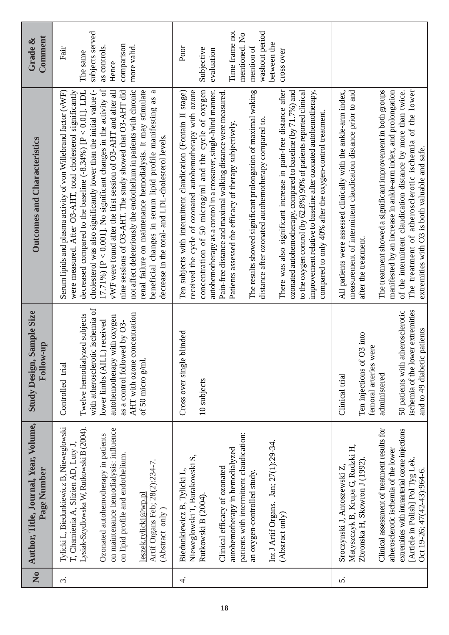| $\mathbf{\hat{z}}$ | Author, Title, Journal, Year, Volume,<br>Page Number                                                                                                                                                                                                                                                                            | Sample Size<br>Follow-up<br><b>Study Design,</b>                                                                                                                                                                                           | <b>Outcomes and Characteristics</b>                                                                                                                                                                                                                                                                                                                                                                                                                                                                                                                                                                                                                                                                                                                                                                                                                     | Comment<br>Grade &                                                                                                               |
|--------------------|---------------------------------------------------------------------------------------------------------------------------------------------------------------------------------------------------------------------------------------------------------------------------------------------------------------------------------|--------------------------------------------------------------------------------------------------------------------------------------------------------------------------------------------------------------------------------------------|---------------------------------------------------------------------------------------------------------------------------------------------------------------------------------------------------------------------------------------------------------------------------------------------------------------------------------------------------------------------------------------------------------------------------------------------------------------------------------------------------------------------------------------------------------------------------------------------------------------------------------------------------------------------------------------------------------------------------------------------------------------------------------------------------------------------------------------------------------|----------------------------------------------------------------------------------------------------------------------------------|
| $\dot{\varsigma}$  | Tylicki L, Biedunkiewicz B, Nieweglowski<br>Lysiak-Szydlowska W, Rutkowski B (2004).<br>on maintenance hemodialysis: influence<br>Ozonated autohemotherapy in patients<br>T, Chamienia A, Slizien AD, Luty J,<br>on lipid profile and endothelium.<br>Artif Organs Feb; 28(2):234-7.<br>leszek.tylicki@wp.pl<br>(Abstract only) | with atherosclerotic ischemia of<br>AHT with ozone concentration<br>Twelve hemodialyzed subjects<br>autohemotherapy with oxygen<br>lower limbs (AILL) received<br>as a control followed by O3-<br>of 50 micro $g$ /ml.<br>Controlled trial | 17.71%) [ $P < 0.001$ ]. No significant changes in the activity of<br>cholesterol was also significantly lower than the initial value (-<br>vWF were found after the first session of O3-AHT and after all<br>nine sessions of O3-AHT. The study showed that O3-AHT did<br>not affect deleteriously the endothelium in patients with chronic<br>decreased compared to the baseline $(-8.34\%)$ [P < 0.01]. LDL<br>renal failure on maintenance hemodialysis. It may stimulate<br>beneficial changes in serum lipid profile manifesting as a<br>Serum lipids and plasma activity of von Willebrand factor (vWF)<br>were measured. After O3-AHT, total cholesterol significantly<br>decrease in the total- and LDL-cholesterol levels.                                                                                                                    | subjects served<br>comparison<br>as controls.<br>more valid.<br>Fair<br>The same<br>Hence                                        |
| 4.                 | patients with intermittent claudication:<br>Int J Artif Organs. Jan; 27(1):29-34.<br>autohemotherapy in hemodialyzed<br>Nieweglowski T, Burakowski S,<br>Clinical efficacy of ozonated<br>Biedunkiewicz B, Tylicki L,<br>an oxygen-controlled study.<br>Rutkowski B (2004).<br>(Abstract only)                                  | blinded<br>Cross over single<br>10 subjects                                                                                                                                                                                                | There was also significant increase in pain-free distance after<br>concentration of 50 microg/ml and the cycle of oxygen<br>Ten subjects with intermittent claudication (Fontain II stage)<br>received the cycle of ozonated autohemotherapy with ozone<br>The results showed significant prolongation of maximal waking<br>ozonated autohemotherapy, compared to baseline (by 71.7%) and<br>to the oxygen control (by 62.8%) 90% of patients reported clinical<br>improvement relative to baseline after ozonated autohemotherapy,<br>autohemotherapy as a control in a crossover, single-blind manner.<br>Pain-free distance and maximal walking distance were measured<br>compared to only 40% after the oxygen-control treatment.<br>distance after ozonated autohemotherapy compared to<br>Patients assessed the efficacy of therapy subjectively. | Time frame not<br>washout period<br>mentioned. No<br>between the<br>mention of<br>Poor<br>Subjective<br>evaluation<br>cross over |
| 5.                 | Clinical assessment of treatment results for<br>extremities with intraarterial ozone injections<br>Matyszczyk B, Krupa G, Rudzki H,<br>atherosclerotic ischemia of the lower<br>[Article in Polish] Pol Tyg Lek.<br>Zbronska H, Skowron J (1992)<br>Sroczynski J, Antoszewski Z,<br>Oct 19-26; 47(42-43):964-6.                 | ischemia of the lower extremities<br>50 patients with atherosclerotic<br>and to 49 diabetic patients<br>Ten injections of O3 into<br>femoral arteries were<br>administered<br>Clinical trial                                               | The treatment showed a significant improvement in both groups<br>manifested by an increase in ankle-arm index, and prolongation<br>The treatment of atherosclerotic ischemia of the lower<br>measurement of intermittent claudication distance prior to and<br>All patients were assessed clinically with the ankle-arm index,<br>of the intermittent claudication distance by more than twice.<br>extremities with O3 is both valuable and safe.<br>after the treatment.                                                                                                                                                                                                                                                                                                                                                                               |                                                                                                                                  |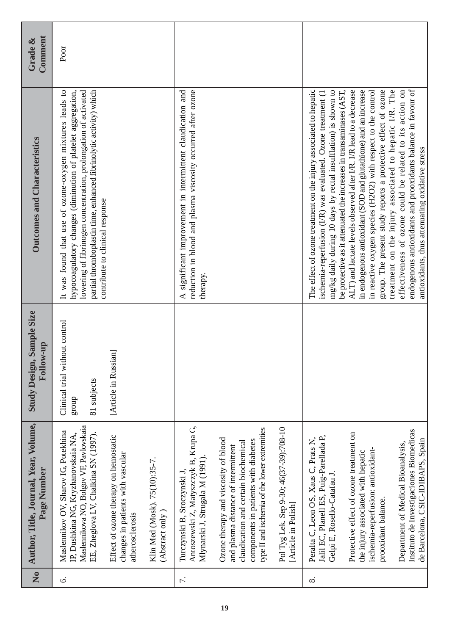| Comment<br>Grade &                                   | Poor                                                                                                                                                                                                                                                                                                |                                                                                               |                                                  |                                                                                                                                        |                                                                                                                                                                                                              |                                                                |                                                                                                                                                                                                                                                                            |                                                                                                                                                                                                        |                                                                                                                         |                                                                                                                          |                                                 |
|------------------------------------------------------|-----------------------------------------------------------------------------------------------------------------------------------------------------------------------------------------------------------------------------------------------------------------------------------------------------|-----------------------------------------------------------------------------------------------|--------------------------------------------------|----------------------------------------------------------------------------------------------------------------------------------------|--------------------------------------------------------------------------------------------------------------------------------------------------------------------------------------------------------------|----------------------------------------------------------------|----------------------------------------------------------------------------------------------------------------------------------------------------------------------------------------------------------------------------------------------------------------------------|--------------------------------------------------------------------------------------------------------------------------------------------------------------------------------------------------------|-------------------------------------------------------------------------------------------------------------------------|--------------------------------------------------------------------------------------------------------------------------|-------------------------------------------------|
| <b>Outcomes and Characteristics</b>                  | lowering of fibrinogen concentration, prolongation of activated<br>It was found that use of ozone-oxygen mixtures leads to<br>hypocoagulatory changes (diminution of platelet aggregation,<br>partial thromboplastin time, enhanced fibrinolytic activity) which<br>contribute to clinical response |                                                                                               |                                                  | A significant improvement in intermittent claudication and<br>reduction in blood and plasma viscosity occurred after ozone<br>therapy. |                                                                                                                                                                                                              |                                                                | mg/kg daily during 10 days by rectal insufflation) is shown to<br>be protective as it attenuated the increases in transaminases (AST,<br>The effect of ozone treatment on the injury associated to hepatic<br>ischemia-reperfusion (I/R) was evaluated. Ozone treatment (1 | ALT) and lactate levels observed after I/R. I/R lead to a decrease<br>in endogenous antioxidant (SOD and glutathione) and an increase<br>in reactive oxygen species (H2O2) with respect to the control | treatment on the injury associated to hepatic I/R. The<br>group. The present study reports a protective effect of ozone | endogenous antioxidants and prooxidants balance in favour of<br>effectiveness of ozone could be related to its action on | antioxidants, thus attenuating oxidative stress |
| Study Design, Sample Size<br>Follow-up               | Clinical trial without control<br>81 subjects<br>dnora                                                                                                                                                                                                                                              | [aa]<br>[Article in Russi                                                                     |                                                  |                                                                                                                                        |                                                                                                                                                                                                              |                                                                |                                                                                                                                                                                                                                                                            |                                                                                                                                                                                                        |                                                                                                                         |                                                                                                                          |                                                 |
| Author, Title, Journal, Year, Volume,<br>Page Number | Maslennikova NO, Bolgov VF, Pavlovskaia<br>Maslennikov OV, Sharov IG, Potekhina<br>EE, Zheglova LV, Chalkina SN (1997).<br>IP, Dushkina NG, Kryzhanovskaia NA,                                                                                                                                      | Effect of ozone therapy on hemostatic<br>changes in patients with vascular<br>atherosclerosis | Klin Med (Mosk). 75(10):35-7.<br>(Abstract only) | Antoszewski Z, Matyszczyk B, Krupa G,<br>Mlynarski J, Strugala M (1991).<br>Turczynski B, Sroczynski J,                                | type II and ischemia of the lower extremities<br>Ozone therapy and viscosity of blood<br>components in patients with diabetes<br>claudication and certain biochemical<br>and plasma distance of intermittent | Pol Tyg Lek. Sep 9-30; 46(37-39):708-10<br>[Article in Polish] | Jalil EC, Planell ES, Puig-Parellada P,<br>Peralta C, Leon OS, Xaus C, Prats N,<br>Gelpi E, Rosello-Catafau J.                                                                                                                                                             | Protective effect of ozone treatment on<br>ischemia-reperfusion: antioxidant-<br>the injury associated with hepatic                                                                                    | prooxidant balance.                                                                                                     | Instituto de Investigaciones Biomedicas<br>Department of Medical Bioanalysis,                                            | de Barcelona, CSIC-IDIBAPS, Spain               |
| $\mathbf{\hat{z}}$                                   | $\acute{\circ}$                                                                                                                                                                                                                                                                                     |                                                                                               |                                                  | $\overline{\tau}$ .                                                                                                                    |                                                                                                                                                                                                              |                                                                | $\infty$                                                                                                                                                                                                                                                                   |                                                                                                                                                                                                        |                                                                                                                         |                                                                                                                          |                                                 |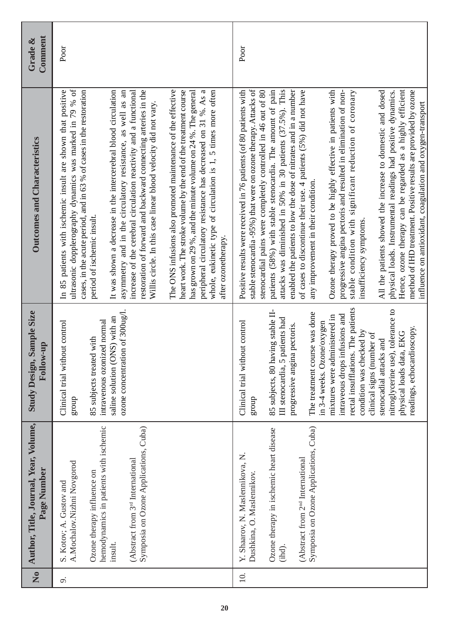| Comment<br>Grade &                                   | Poor                                                                                                                                                                                                                                                                                                                                                                                                                                                                                                                                                                                                                                                                                                                                                                                                                                                                                                                                | Poor                                                                                                                                                                                                                                                                                                                                                                                                                                                                                                                                                                                                                                                                                                                                                                                                                                                                                                                                                                                                                                                                   |
|------------------------------------------------------|-------------------------------------------------------------------------------------------------------------------------------------------------------------------------------------------------------------------------------------------------------------------------------------------------------------------------------------------------------------------------------------------------------------------------------------------------------------------------------------------------------------------------------------------------------------------------------------------------------------------------------------------------------------------------------------------------------------------------------------------------------------------------------------------------------------------------------------------------------------------------------------------------------------------------------------|------------------------------------------------------------------------------------------------------------------------------------------------------------------------------------------------------------------------------------------------------------------------------------------------------------------------------------------------------------------------------------------------------------------------------------------------------------------------------------------------------------------------------------------------------------------------------------------------------------------------------------------------------------------------------------------------------------------------------------------------------------------------------------------------------------------------------------------------------------------------------------------------------------------------------------------------------------------------------------------------------------------------------------------------------------------------|
| <b>Outcomes and Characteristics</b>                  | ultrasonic dopplerography dynamics was marked in 79 % of<br>The ONS infusions also promoted maintenance of the effective<br>heart work. The stroke volume by the end of the treatment course<br>In 85 patients with ischemic insult are shown that positive<br>cases, in the acute period, and in 63 % of cases in the restoration<br>It was shown a decrease in the intercerebral blood circulation<br>restoration of forward and backward connecting arteries in the<br>has grown on 29 %, and the minute volume on 24 %. The general<br>peripheral circulatory resistance has decreased on 31 %. As a<br>asymmetry and in the circulatory resistance, as well as an<br>increase of the cerebral circulation reactivity and a functional<br>whole, eukinetic type of circulation is 1, 5 times more often<br>Willis circle. In this case linear blood velocity did not vary.<br>period of ischemic insult.<br>after ozonetherapy. | stable stenocardia -95%) that were on ozone therapy. Attacks of<br>attacks was diminished in 50% in 30 patients (37.5%). This<br>enabled the patients to low the dose of nitrates and in a number<br>Ozone therapy proved to be highly effective in patients with<br>Hence, ozone therapy can be regarded as a highly efficient<br>method of IHD treatment. Positive results are provided by ozone<br>Positive results were received in 76 patients (of 80 patients with<br>stenocardial pains were completely controlled in 46 out of 80<br>patients (58%) with stable stenocardia. The amount of pain<br>of cases to discontinue their use. 4 patients (5%) did not have<br>All the patients showed the increase to domestic and dosed<br>physical loads. Instrumental readings had positive dynamics.<br>progressive angina pectoris and resulted in elimination of non-<br>stable condition with significant reduction of coronary<br>influence on antioxidant, coagulation and oxygen-transport<br>any improvement in their condition.<br>insufficiency symptoms. |
| <b>Study Design, Sample Size</b><br><b>qu-wolloy</b> | ozone concentration of 300ug/l.<br>saline solution (ONS) with an<br>intravenous ozonized normal<br>Clinical trial without control<br>85 subjects treated with<br>group                                                                                                                                                                                                                                                                                                                                                                                                                                                                                                                                                                                                                                                                                                                                                              | rectal insufflations. The patients<br>nitroglycerine use), tolerance to<br>85 subjects, 80 having stable II-<br>The treatment course was done<br>intraveous drops infusions and<br>mixtures were administered in<br>5 patients had<br>in 3-4 weeks. Ozone/oxygen<br>Clinical trial without control<br>progressive angina pectoris.<br>readings, echocardioscopy.<br>condition was checked by<br>physical loads data, EKG<br>clinical signs (number of<br>stenocadial attacks and<br>III stenocardia,<br>group                                                                                                                                                                                                                                                                                                                                                                                                                                                                                                                                                          |
| Author, Title, Journal, Year, Volume,<br>Page Number | hemodynamics in patients with ischemic<br>Symposia on Ozone Applications, Cuba)<br>(Abstract from 3 <sup>rd</sup> International<br>A.Mochalov.Nizhni Novgorod<br>Ozone therapy influence on<br>S. Kotov; A. Gustov and<br>insult.                                                                                                                                                                                                                                                                                                                                                                                                                                                                                                                                                                                                                                                                                                   | Symposia on Ozone Applications, Cuba)<br>Ozone therapy in ischemic heart disease<br>Y. Shaarov, N. Maslennikova, N.<br>(Abstract from 2 <sup>nd</sup> International<br>Dushkina, O. Maslennikov.<br>(ihd).                                                                                                                                                                                                                                                                                                                                                                                                                                                                                                                                                                                                                                                                                                                                                                                                                                                             |
| $\overline{\mathsf{X}}$                              | o.                                                                                                                                                                                                                                                                                                                                                                                                                                                                                                                                                                                                                                                                                                                                                                                                                                                                                                                                  | $\overline{10}$ .                                                                                                                                                                                                                                                                                                                                                                                                                                                                                                                                                                                                                                                                                                                                                                                                                                                                                                                                                                                                                                                      |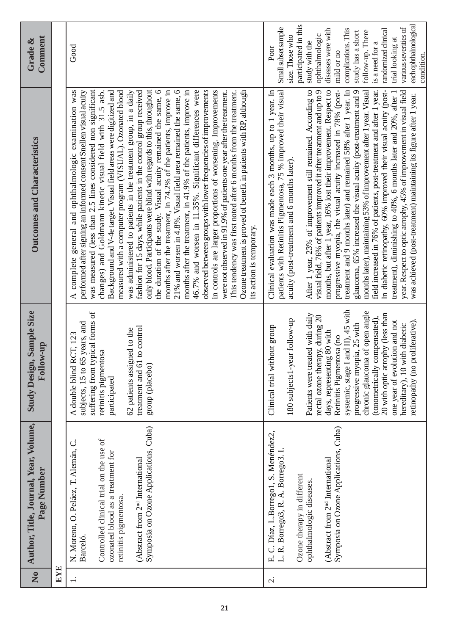|                                                                   | Author, Title, Journal, Year, Volume,<br>Page Number                                                                                                                                                         | Sample Size<br>Follow-up<br><b>Study Design,</b>                                                                                                                                                                                                                                                                                                                                                                                                                                | <b>Outcomes and Characteristics</b>                                                                                                                                                                                                                                                                                                                                                                                                                                                                                                                                                                                                                                                                                                                                                                                                                                                                                                                                                                                                                                                                                                                                                                                                                                                                                                     | Comment<br>Grade &                                                                                                                                                                                                                                                                                                                          |
|-------------------------------------------------------------------|--------------------------------------------------------------------------------------------------------------------------------------------------------------------------------------------------------------|---------------------------------------------------------------------------------------------------------------------------------------------------------------------------------------------------------------------------------------------------------------------------------------------------------------------------------------------------------------------------------------------------------------------------------------------------------------------------------|-----------------------------------------------------------------------------------------------------------------------------------------------------------------------------------------------------------------------------------------------------------------------------------------------------------------------------------------------------------------------------------------------------------------------------------------------------------------------------------------------------------------------------------------------------------------------------------------------------------------------------------------------------------------------------------------------------------------------------------------------------------------------------------------------------------------------------------------------------------------------------------------------------------------------------------------------------------------------------------------------------------------------------------------------------------------------------------------------------------------------------------------------------------------------------------------------------------------------------------------------------------------------------------------------------------------------------------------|---------------------------------------------------------------------------------------------------------------------------------------------------------------------------------------------------------------------------------------------------------------------------------------------------------------------------------------------|
|                                                                   |                                                                                                                                                                                                              |                                                                                                                                                                                                                                                                                                                                                                                                                                                                                 |                                                                                                                                                                                                                                                                                                                                                                                                                                                                                                                                                                                                                                                                                                                                                                                                                                                                                                                                                                                                                                                                                                                                                                                                                                                                                                                                         |                                                                                                                                                                                                                                                                                                                                             |
| retinitis pigmentosa.<br><b>Barceló</b>                           | Symposia on Ozone Applications, Cuba)<br>Controlled clinical trial on the use of<br>N. Moreno, O. Peláez, T. Alemán, C.<br>ozonated blood as a treatment for<br>(Abstract from 2 <sup>nd</sup> International | suffering from typical forms of<br>subjects, 15 to 65 years, and<br>to control<br>62 patients assigned to the<br>CT, 123<br>retinitis pigmentosa<br>A double blind R<br>treatment and 61<br>group (placebo)<br>participated                                                                                                                                                                                                                                                     | was measured (less than 2.5 lines considered non significant<br>only blood. Participants were blind with regards to this, throughout<br>the duration of the study. Visual acuity remained the same, 6<br>months after the treatment, in 74.2% of the patients, improve in<br>21% and worsen in 4.8%. Visual field area remained the same, 6<br>months after the treatment, in 41.9% of the patients, improve in<br>46.7% and worsen in 11.35%. Significant differences were<br>observed between groups with lower frequencies of improvements<br>in controls are larger proportions of worsening. Improvements<br>Background and V-4e target. Visual field areas were digitized and<br>measured with a computer program (VISUAL). Ozonated blood<br>fashion for 15 days, while patients in the control group received<br>were not observed in 91.9% of patients one year after the treatment.<br>Ozone treatment is proved of benefit in patients with RP, although<br>general and ophthalmologic examination was<br>performed after signing an informed consent Snellen visual acuity<br>was administered to patients in the treatment group, in a daily<br>This tendency was first noted after 6 months from the treatment.<br>changes) and Goldmann kinetic visual field with 31.5 asb.<br>its action is temporary.<br>complete<br>∢ | Good                                                                                                                                                                                                                                                                                                                                        |
| Ozone therapy in different<br>ophthalmologic diseases.<br>ن<br>щi | Symposia on Ozone Applications, Cuba)<br>Díaz, L.Borrego1, S. Menéndez2,<br>L. R. Borrego3, R. A. Borrego3.<br>(Abstract from 2 <sup>nd</sup> International                                                  | systemic, stage I and II), 45 with<br>chronic glaucoma of open angle<br>20 with optic atrophy (less than<br>Patients were treated with daily<br>rectal ozone therapy, during 20<br>(tonometrically compensated),<br>180 subjects 1-year follow-up<br>one year of evolution and not<br>retinopathy (no proliferative).<br>progressive myopia, 25 with<br>hereditary), 10 with diabetic<br>Clinical trial without group<br>days, representing 80 with<br>Retinitis Pigmentosa (no | patients with Retinitis Pigmentosa, 75 % improved their visual<br>After 1 year, 23% of improvement still remained. According to<br>visual field, 76% of patients improved it after treatment and up to 9<br>months, but after 1 year, 16% lost their improvement. Respect to<br>progressive myopia, the visual acuity increased in 78% (post-<br>treatment and 9 months later) and remained 58% after 1 year. In<br>field increased in 76% of patients, post-treatment and after 1 year.<br>Clinical evaluation was made each 3 months, up to 1 year. In<br>glaucoma, 65% increased the visual acuity (post-treatment and 9<br>months later), maintaining 53% of improvement after 1 year. Visual<br>In diabetic retinopathy, 60% improved their visual acuity (post-<br>year. Respect to optic atrophy, 45% of improvement in visual field<br>treatment), diminishing to 40%, 6 months later and 20%, after 1<br>was achieved (post-treatment) maintaining its figure after 1 year.<br>acuity (post-treatment and 6 months later).                                                                                                                                                                                                                                                                                                     | eachophthalmological<br>participated in this<br>various severities of<br>Small subset sample<br>diseases were with<br>complications. This<br>randomized clinical<br>follow-up. There<br>study has a short<br>ophthalmologic<br>size. Those who<br>trial looking at<br>study with the<br>is a need for a<br>Poor<br>mild or no<br>condition. |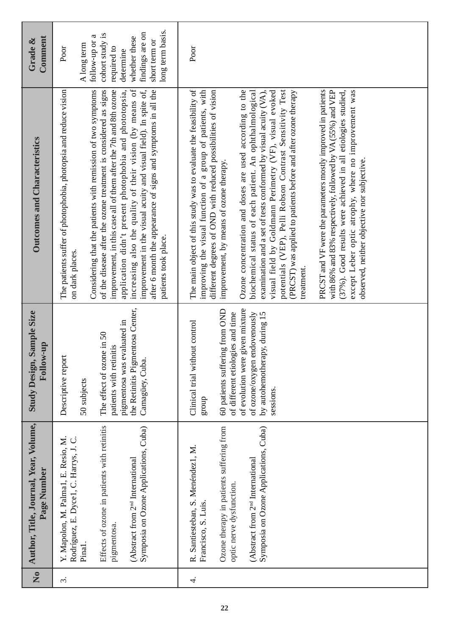| Comment<br>Grade &                                   | long term basis.<br>findings are on<br>cohort study is<br>follow-up or a<br>whether these<br>short term or<br>A long term<br>required to<br>Poor<br>determine                                                                                                                                                                                                                                                                                                                                                                                                                  | Poor                                                                                                                                                                                                                                                                                                                                                                                                                                                                                                                                                                                                                                                                                                                                                                                                                                                                                                                                              |
|------------------------------------------------------|--------------------------------------------------------------------------------------------------------------------------------------------------------------------------------------------------------------------------------------------------------------------------------------------------------------------------------------------------------------------------------------------------------------------------------------------------------------------------------------------------------------------------------------------------------------------------------|---------------------------------------------------------------------------------------------------------------------------------------------------------------------------------------------------------------------------------------------------------------------------------------------------------------------------------------------------------------------------------------------------------------------------------------------------------------------------------------------------------------------------------------------------------------------------------------------------------------------------------------------------------------------------------------------------------------------------------------------------------------------------------------------------------------------------------------------------------------------------------------------------------------------------------------------------|
| <b>Outcomes and Characteristics</b>                  | increasing also the quality of their vision (by means of<br>improvement in the visual acuity and visual field). In spite of,<br>The patients suffer of photophobia, photopsia and reduce vision<br>Considering that the patients with remission of two symptoms<br>of the disease after the ozone treatment is considered as signs<br>after 6 month the appearance of signs and symptoms in all the<br>improvement, in this case all of them after the 7th and 8th ozone<br>application didn't present photophobia and phototopsia,<br>patients took place.<br>on dark places. | The main object of this study was to evaluate the feasibility of<br>potentials (VEP), Pelli Robson Contrast Sensitivity Test<br>with 86% and 83% respectively, followed by VA (55%) and VEP<br>except Leber optic atrophy, where no improvement was<br>improving the visual function of a group of patients, with<br>Ozone concentration and doses are used according to the<br>PRCST and VF were the parameters mostly improved in patients<br>(37%). Good results were achieved in all etiologies studied,<br>different degrees of OND with reduced possibilities of vision<br>biochemical status of each patient. An ophthalmological<br>examination and a set of tests conformed by visual acuity $(VA)$ ,<br>visual field by Goldmann Perimetry (VF), visual evoked<br>(PRCST) was applied to patients before and after ozone therapy<br>observed, neither objective nor subjective.<br>improvement, by means of ozone therapy.<br>treatment |
| Sample Size<br>Follow-up<br><b>Study Design,</b>     | the Retinitis Pigmentosa Center,<br>pigmentosa was evaluated in<br>The effect of ozone in 50<br>patients with retinitis<br>Descriptive report<br>Camagüey, Cuba<br>50 subjects                                                                                                                                                                                                                                                                                                                                                                                                 | of evolution were given mixture<br>60 patients suffering from OND<br>of ozone/oxygen endovenously<br>by autohemotherapy, during 15<br>of different etiologies and time<br>Clinical trial without control<br>sessions.<br>group                                                                                                                                                                                                                                                                                                                                                                                                                                                                                                                                                                                                                                                                                                                    |
| Author, Title, Journal, Year, Volume,<br>Page Number | Effects of ozone in patients with retinitis<br>Symposia on Ozone Applications, Cuba)<br>Y. Mapolon, M. Palma1, E. Resio, M.<br>Rodríguez, E. Dyce1, C. Harrys, J. C.<br>(Abstract from 2 <sup>nd</sup> International<br>pigmentosa.<br>Pinal.                                                                                                                                                                                                                                                                                                                                  | Ozone therapy in patients suffering from<br>Symposia on Ozone Applications, Cuba)<br>R. Santiesteban, S. Menéndez1, M.<br>(Abstract from 2 <sup>nd</sup> International<br>optic nerve dysfunction.<br>Francisco, S. Luis.                                                                                                                                                                                                                                                                                                                                                                                                                                                                                                                                                                                                                                                                                                                         |
| $\overline{N}$                                       | $\dot{\mathfrak{c}}$                                                                                                                                                                                                                                                                                                                                                                                                                                                                                                                                                           | 4.                                                                                                                                                                                                                                                                                                                                                                                                                                                                                                                                                                                                                                                                                                                                                                                                                                                                                                                                                |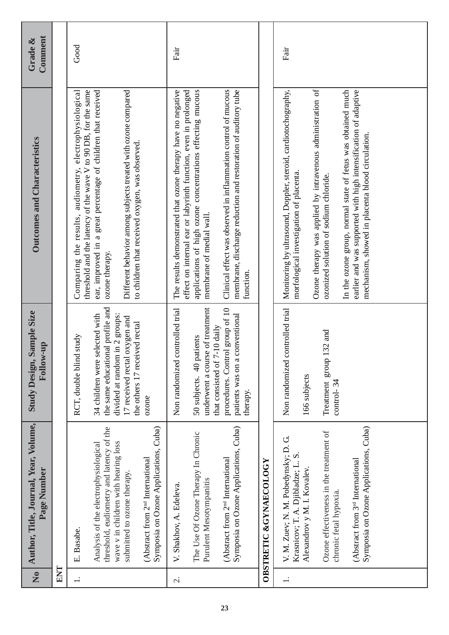| $\overline{\mathsf{X}}$  | Author, Title, Journal, Year, Volume,<br>Page Number                                                                                                                                                                                                                  | Sample Size<br>Follow-up<br><b>Study Design,</b>                                                                                                                          | <b>Outcomes and Characteristics</b>                                                                                                                                                                                                                                                                                                                                                                    | Comment<br>Grade & |
|--------------------------|-----------------------------------------------------------------------------------------------------------------------------------------------------------------------------------------------------------------------------------------------------------------------|---------------------------------------------------------------------------------------------------------------------------------------------------------------------------|--------------------------------------------------------------------------------------------------------------------------------------------------------------------------------------------------------------------------------------------------------------------------------------------------------------------------------------------------------------------------------------------------------|--------------------|
| ENT                      |                                                                                                                                                                                                                                                                       |                                                                                                                                                                           |                                                                                                                                                                                                                                                                                                                                                                                                        |                    |
| $\overline{a}$           | E. Basabe.                                                                                                                                                                                                                                                            | d study<br>RCT, double blin                                                                                                                                               | Comparing the results, audiometry, electrophysiological<br>threshold and the latency of the wave V to 90 DB, for the same                                                                                                                                                                                                                                                                              | Good               |
|                          | threshold, eudiometry and latency of the<br>wave v in children with hearing loss<br>Analysis of the electrophysiological<br>submitted to ozone therapy.                                                                                                               | the same educational profile and<br>selected with<br>divided at random in 2 groups:<br>17 received rectal oxygen and<br>the others 17 received rectal<br>34 children were | Different behavior among subjects treated with ozone compared<br>ear, improved in a great percentage of children that received<br>to children that received oxygen, was observed<br>ozone therapy.                                                                                                                                                                                                     |                    |
|                          | Symposia on Ozone Applications, Cuba)<br>(Abstract from 2 <sup>nd</sup> International                                                                                                                                                                                 | ozone                                                                                                                                                                     |                                                                                                                                                                                                                                                                                                                                                                                                        |                    |
| $\overline{\mathcal{C}}$ | V. Shakhov, A. Edeleva.                                                                                                                                                                                                                                               | controlled trial<br>Non randomized                                                                                                                                        | The results demonstrated that ozone therapy have no negative<br>effect on internal ear or labyrinth function, even in prolonged                                                                                                                                                                                                                                                                        | Fair               |
|                          | The Use Of Ozone Therapy In Chronic<br>Purulent Mesotympanitis                                                                                                                                                                                                        | underwent a course of treatment<br>that consisted of 7-10 daily<br>50 subjects. 40 patients                                                                               | applications of high ozone concentrations effecting mucous<br>membrane of medial wall.                                                                                                                                                                                                                                                                                                                 |                    |
|                          | Symposia on Ozone Applications, Cuba)<br>(Abstract from 2 <sup>nd</sup> International                                                                                                                                                                                 | procedures. Control group of 10<br>conventional<br>patients was on a<br>therapy.                                                                                          | Clinical effect was observed in inflammation control of mucous<br>membrane, discharge reduction and restoration of auditory tube<br>function                                                                                                                                                                                                                                                           |                    |
|                          | <b>OBSTRETIC &amp;GYNAECOLOGY</b>                                                                                                                                                                                                                                     |                                                                                                                                                                           |                                                                                                                                                                                                                                                                                                                                                                                                        |                    |
| $\overline{\phantom{0}}$ | Symposia on Ozone Applications, Cuba)<br>Ozone effectiveness in the treatment of<br>V. M. Zuev; N. M. Pobedynsky; D. G.<br>Krasnicov; T. A. Djibladze; L. S.<br>(Abstract from 3 <sup>rd</sup> International<br>Alexandrov y M. I. Kovalev.<br>chronic fetal hypoxia. | controlled trial<br>$132$ and<br>Treatment group<br>Non randomized<br>166 subjects<br>$control-34$                                                                        | Ozone therapy was applied by intravenous administration of<br>In the ozone group, normal state of fetus was obtained much<br>earlier and was supported with high intensification of adaptive<br>Monitoring by ultrasound, Doppler, steroid, cardiotochography,<br>mechanism, showed in placenta blood circulation.<br>morfological investigation of placenta.<br>ozonized solution of sodium chloride. | Fair               |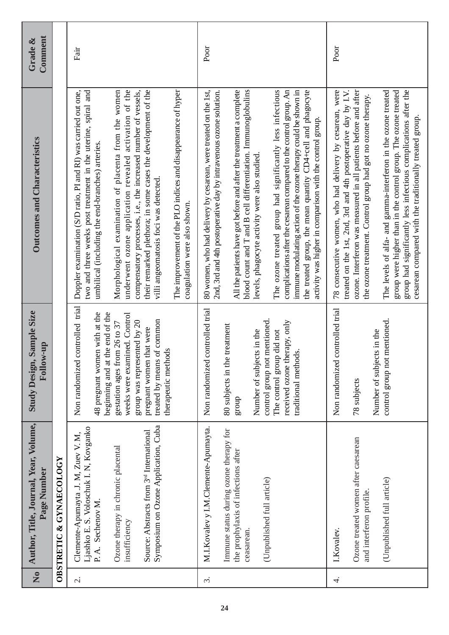| $\tilde{\mathbf{z}}$     | Author, Title, Journal, Year, Volume,<br>Page Number                                                                                                                                                                                                     | Sample Size<br>Follow-up<br><b>Study Design,</b>                                                                                                                                                                                                                                          | <b>Outcomes and Characteristics</b>                                                                                                                                                                                                                                                                                                                                                                                                                                                                                                                                                                                                                              | Comment<br>Grade & |
|--------------------------|----------------------------------------------------------------------------------------------------------------------------------------------------------------------------------------------------------------------------------------------------------|-------------------------------------------------------------------------------------------------------------------------------------------------------------------------------------------------------------------------------------------------------------------------------------------|------------------------------------------------------------------------------------------------------------------------------------------------------------------------------------------------------------------------------------------------------------------------------------------------------------------------------------------------------------------------------------------------------------------------------------------------------------------------------------------------------------------------------------------------------------------------------------------------------------------------------------------------------------------|--------------------|
|                          | OBSTRETIC & GYNAECOLOGY                                                                                                                                                                                                                                  |                                                                                                                                                                                                                                                                                           |                                                                                                                                                                                                                                                                                                                                                                                                                                                                                                                                                                                                                                                                  |                    |
| $\overline{\mathcal{C}}$ | Symposium on Ozone Application, Cuba<br>Ljashko E. S. Voloschuk I. N, Kovganko<br>Source: Abstracts from 3 <sup>rd</sup> International<br>Clemente-Apumayta .J. M, Zuev V. M,<br>Ozone therapy in chronic placental<br>P.A. Sechenov M.<br>insufficiency | controlled trial<br>beginning and at the end of the<br>48 pregnant women with at the<br>weeks were examined. Control<br>treated by means of common<br>group was represented by 20<br>gestation ages from 26 to 37<br>that were<br>therapeutic methods<br>Non randomized<br>pregnant women | underwent ozone application revealed activation of the<br>The improvement of the PLO indices and disappearance of hyper<br>Morphological examination of placenta from the women<br>compensatory processes, i.e., the increased number of vessels,<br>their remarked plethora; in some cases the development of the<br>Doppler examination (S/D ratio, PI and RI) was carried out one,<br>two and three weeks post treatment in the uterine, spiral and<br>umbilical (including the end-branches) arteries.<br>villi angeomatosis foci was detected.<br>coagulation were also shown.                                                                              | Fair               |
| $\dot{\varsigma}$        | M.I.Kovalev y I.M.Clemente-Apumayta.<br>Immune status during ozone therapy for<br>the prophylaxis of infections after<br>(Unpublished full article)<br>ceasarean.                                                                                        | controlled trial<br>control group not mentioned.<br>received ozone therapy, only<br>80 subjects in the treatment<br>Number of subjects in the<br>The control group did not<br>traditional methods.<br>Non randomized<br>dnong                                                             | 80 women, who had delivery by cesarean, were treated on the 1st,<br>blood count and T and B cell differentiation. Immunoglobulins<br>The ozone treated group had significantly less infectious<br>All the patients have got before and after the treatment a complete<br>complications after the cesarean compared to the control group. An<br>2nd, 3rd and 4th postoperative day by intravenous ozone solution.<br>immune modulating action of the ozone therapy could be shown in<br>the treated group, the mean quantity CD4+cell and phagocyte<br>activity was higher in comparison with the control group.<br>levels, phagocyte activity were also studied. | Poor               |
| 4.                       | Ozone treated women after caesarean<br>(Unpublished full article)<br>and interferon profile<br>I.Kovalev.                                                                                                                                                | controlled trial<br>control group not mentioned.<br>cts in the<br>Non randomized<br>Number of subje<br>78 subjects                                                                                                                                                                        | 78 consecutive women, who had delivery by cesarean, were<br>treated on the 1st, 2nd, 3rd and 4th postoperative day by I.V.<br>ozone. Interferon was measured in all patients before and after<br>group had significantly less infectious complications after the<br>The levels of alfa- and gamma-interferon in the ozone treated<br>group were higher than in the control group. The ozone treated<br>the ozone treatment. Control group had got no ozone therapy.<br>cesarean compared with the traditionally treated group.                                                                                                                                   | Poor               |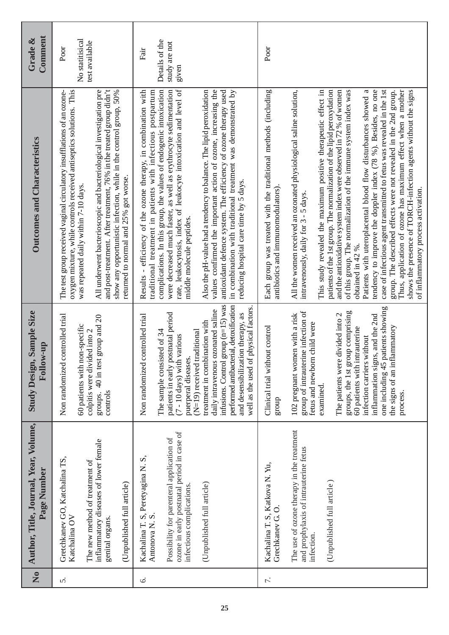| $\frac{1}{2}$ | Author, Title, Journal, Year, Volume,<br>Page Number                                                                                                                                                      | Sample Size<br><b>Hollow-up</b><br><b>Study Design,</b>                                                                                                                                                                                                                                                                                                                                                                         | Outcomes and Characteristics                                                                                                                                                                                                                                                                                                                                                                                                                                                                                                                                                                                                                                                                                                                                                                                                                                                                                                                                                      | Comment<br>Grade &                               |
|---------------|-----------------------------------------------------------------------------------------------------------------------------------------------------------------------------------------------------------|---------------------------------------------------------------------------------------------------------------------------------------------------------------------------------------------------------------------------------------------------------------------------------------------------------------------------------------------------------------------------------------------------------------------------------|-----------------------------------------------------------------------------------------------------------------------------------------------------------------------------------------------------------------------------------------------------------------------------------------------------------------------------------------------------------------------------------------------------------------------------------------------------------------------------------------------------------------------------------------------------------------------------------------------------------------------------------------------------------------------------------------------------------------------------------------------------------------------------------------------------------------------------------------------------------------------------------------------------------------------------------------------------------------------------------|--------------------------------------------------|
| 5.            | inflammatory diseases of lower female<br>Gretchkanev GO, Katchalina TS,<br>The new method of treatment of<br>(Unpublished full article)<br>Katchalina OV<br>genital organs.                               | Non randomized controlled trial<br>group and 20<br>60 patients with non-specific<br>colpitis were divided into 2<br>groups. 40 in test<br>controls                                                                                                                                                                                                                                                                              | oxygen mixture, while controls received antiseptics solutions. This<br>All underwent bacterioscopic and bacteriological investigation pre<br>and post-treatment. After treatment, 76% in the treated group didn't<br>The test group received vaginal circulatory insufflations of an ozone-<br>show any opportunistic infection, while in the control group, 50%<br>returned to normal and 25% got worse.<br>was repeated daily within 7-10 days.                                                                                                                                                                                                                                                                                                                                                                                                                                                                                                                                 | No statitisical<br>test available<br>Poor        |
| Ġ.            | ozone in early postnatal period in case of<br>Possibility for parenteral application of<br>Kachalina T. S, Peretyagina N. S,<br>(Unpublished full article)<br>infectious complications.<br>Antonova N. S. | infusions. Control group (n=15) was<br>performed antibacterial, detoxification<br>physical factors.<br>daily intravenous ozonated saline<br>and desensibilization therapy, as<br>patients in early postnatal period<br>Non randomized controlled trial<br>treatment in combination with<br>(N=19) received traditional<br>The sample consisted of 34<br>(7 - 10 days) with various<br>puerperal diseases<br>well as the used of | rate, leukocytosis, index of leukocyte intoxication and level of<br>complications. In this group, the values of endogenic intoxication<br>were decreased much faster, as well as erythrocyte sedimentation<br>Results - efficiency of the ozone therapy, in combination with<br>traditional treatment in patients with infectious postpartum<br>Also the pH-value had a tendency to balance. The lipid peroxidation<br>values confirmed the important action of ozone, increasing the<br>antioxidant defence system. The efficiency of ozone therapy used<br>in combination with traditional treatment was demonstrated by<br>reducing hospital care time by 5 days.<br>middle molecule peptides.                                                                                                                                                                                                                                                                                 | Details of the<br>study are not<br>Fair<br>given |
| 7.            | The use of ozone therapy in the treatment<br>and prophylaxis of intrauterine fetus<br>Kachalina T. S, Katkova N. Yu,<br>(Unpublished full article)<br>Grechkanev G.O.<br>infection.                       | one including 45 patients showing<br>group of intrauterine infection of<br>groups, the 1st group comprising<br>102 pregnant women with a risk<br>The patients were divided into 2<br>inflammation signs, and the 2nd<br>child were<br>Clinical trial without control<br>the signs of an inflammatory<br>60 patients with intrauterine<br>infection carriers without<br>fetus and newborn<br>examined.<br>process.<br>group      | case of infectious agent transmitted to fetus was revealed in the 1st<br>This study revealed the maximum positive therapeutic effect in<br>tendency to improve the doppler index (78 %). Besides, no one<br>Thus, application of ozone has maximum effect when a mother<br>Each group was treated with the traditional methods (including<br>All the women received an ozonated physiological saline solution,<br>patients of the 1st group. The normalization of the lipid peroxydation<br>and the antioxidative system index were observed in 72 % of women<br>of this group. The normalization of the immune system index was<br>Patients with uteroplacental blood flow disturbances showed a<br>group. The described effects were not revealed in the 2nd group.<br>shows the presence of TORCH-infection agents without the signs<br>antibiotics and immunomodulators).<br>of inflammatory process activation.<br>intravenously, daily for 3 - 5 days.<br>obtained in 42 %. | Poor                                             |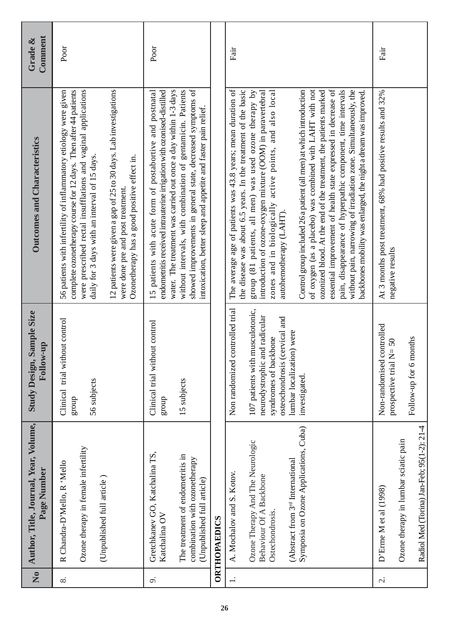| $\frac{1}{2}$ | Author, Title, Journal, Year, Volume,<br>Page Number                                                                                                                                                 | Sample Size<br>Follow-up<br><b>Study Design,</b>                                                                                                                                                                      | <b>Outcomes and Characteristics</b>                                                                                                                                                                                                                                                                                                                                                                                                                                                                                                                                                                                                                                                                                                                                                                                            | Comment<br>Grade & |
|---------------|------------------------------------------------------------------------------------------------------------------------------------------------------------------------------------------------------|-----------------------------------------------------------------------------------------------------------------------------------------------------------------------------------------------------------------------|--------------------------------------------------------------------------------------------------------------------------------------------------------------------------------------------------------------------------------------------------------------------------------------------------------------------------------------------------------------------------------------------------------------------------------------------------------------------------------------------------------------------------------------------------------------------------------------------------------------------------------------------------------------------------------------------------------------------------------------------------------------------------------------------------------------------------------|--------------------|
| $\infty$      | Ozone therapy in female infertility<br>R Chandra-D'Mello, R 'Mello<br>(Unpublished full article)                                                                                                     | Clinical trial without control<br>56 subjects<br>group                                                                                                                                                                | were prescribed rectal insufflations and vaginal applications<br>complete ozonetherapy course for 12 days. Then after 44 patients<br>12 patients were given a gap of 25 to 30 days. Lab investigations<br>56 patients with infertility of inflammatory etiology were given<br>daily for 3 days with an interval of 15 days.<br>Ozonetherapy has a good positive effect in.<br>were done pre and post treatment.                                                                                                                                                                                                                                                                                                                                                                                                                | Poor               |
| o.            | Gretchkanev GO, Katchalina TS,<br>The treatment of endometritis in<br>combination with ozonetherapy<br>(Unpublished full article)<br>Katchalina OV                                                   | Clinical trial without control<br>15 subjects<br>group                                                                                                                                                                | without intervals, with combination of gentamicin. Patients<br>showed improvements in general state, decreased symptoms of<br>water. The treatment was carried out once a day within 1-3 days<br>patients with acute form of postabortive and postnatal<br>endometritis received intrauterine irrigation with ozonised-distilled<br>intoxication, better sleep and appetite and faster pain relief.<br>15                                                                                                                                                                                                                                                                                                                                                                                                                      | Poor               |
|               | <b>ORTHOPAEDICS</b>                                                                                                                                                                                  |                                                                                                                                                                                                                       |                                                                                                                                                                                                                                                                                                                                                                                                                                                                                                                                                                                                                                                                                                                                                                                                                                |                    |
|               | Symposia on Ozone Applications, Cuba)<br>Ozone Therapy And The Neurologic<br>(Abstract from 3 <sup>rd</sup> International<br>A. Mochalov and S. Kotov.<br>Behaviour Of A Backbone<br>Ostechondrosis. | controlled trial<br>107 patients with musculotonic,<br>and radicular<br>osteochondrosis (cervical and<br>ion) were<br>syndromes of backbone<br>Non randomized<br>neurodystrophic<br>lumbar localizati<br>investigated | The average age of patients was 43.8 years; mean duration of<br>of oxygen (as a placebo) was combined with LAHT with not<br>essential improvement of health state expressed in decrease of<br>pain, disappearance of hyperpathic component, time intervals<br>the disease was about 6.5 years. In the treatment of the basic<br>Control group included 26 a patient (all men) at which introduction<br>ozonized blood. At the end of the treatment, the patients marked<br>without pain, narrowing of irradiation zone. Simultaneously, the<br>group (81 patients, all men) was used ozone therapy by<br>introduction of ozone-oxygen mixture (OOM) in paravertebral<br>zones and in biologically active points, and also local<br>backbones mobility was enlarged, the night a dream was improved.<br>autohemotherapy (LAHT). | Fair               |
| $\sim$        | Radiol Med (Torina) Jan-Feb; 95(1-2): 21-4<br>Ozone therapy in lumbar sciatic pain<br>D'Erme M et al (1998)                                                                                          | controlled<br>months<br>$N = 50$<br>Non-randomised<br>prospective trial<br>Follow-up for 6                                                                                                                            | At 3 months post treatment, 68% had positive results and 32%<br>negative results                                                                                                                                                                                                                                                                                                                                                                                                                                                                                                                                                                                                                                                                                                                                               | Fair               |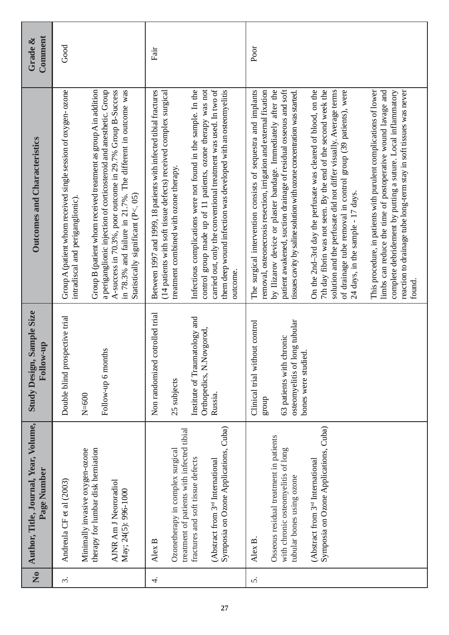| $\overline{\mathsf{z}}$ | Author, Title, Journal, Year, Volume,<br>Page Number                                                                                                                                                                   | Sample Size<br>Follow-up<br><b>Study Design,</b>                                                                                      | <b>Outcomes and Characteristics</b>                                                                                                                                                                                                                                                                                                                                                                                                                                                                                                                                                                                                                                                                                                                                                                                                                                                                                                               | Comment<br>Grade & |
|-------------------------|------------------------------------------------------------------------------------------------------------------------------------------------------------------------------------------------------------------------|---------------------------------------------------------------------------------------------------------------------------------------|---------------------------------------------------------------------------------------------------------------------------------------------------------------------------------------------------------------------------------------------------------------------------------------------------------------------------------------------------------------------------------------------------------------------------------------------------------------------------------------------------------------------------------------------------------------------------------------------------------------------------------------------------------------------------------------------------------------------------------------------------------------------------------------------------------------------------------------------------------------------------------------------------------------------------------------------------|--------------------|
| $\dot{\varsigma}$       | therapy for lumbar disk herniation<br>Minimally invasive oxygen-ozone<br>Andreula CF et al (2003)<br>AJNR Am J Neororadiol<br>May; 24(5): 996-1000                                                                     | Double blind prospective trial<br>Follow-up 6 months<br>$N=600$                                                                       | Group B (patient whom received treatment as group A in addition<br>Group A (patient whom received single session of oxygen-ozone<br>a periganglionic injection of corticosteroid and anesthetic. Group<br>A-success in 70.3%, poor outcome in 29.7% Group B-Success<br>in 78.3% and failure in 21.7%. The different in outcome was<br>Statistically significant (P<. 05)<br>intradiscal and periganglionic).                                                                                                                                                                                                                                                                                                                                                                                                                                                                                                                                      | Good               |
| 4.                      | Symposia on Ozone Applications, Cuba)<br>treatment of patients with infected tibial<br>Ozonetherapy in complex surgical<br>fractures and soft tissue defects<br>(Abstract from 3 <sup>rd</sup> International<br>Alex B | cotrolled trial<br>Institute of Traumatology and<br>Orthopedics, N.Novgorod,<br>Non randomized<br>25 subjects<br>Russia.              | control group made up of 11 patients, ozone therapy was not<br>Infectious complications were not found in the sample. In the<br>carried out, only the conventional treatment was used. In two of<br>Between 1997 and 1999, 18 patients with infected tibial fractures<br>(14 patients with soft tissue defects) received complex surgical<br>them deep wound infection was developed with an osteomyelitis<br>treatment combined with ozone therapy.<br>outcome.                                                                                                                                                                                                                                                                                                                                                                                                                                                                                  | Fair               |
| 5.                      | Symposia on Ozone Applications, Cuba)<br>Osseous residual treatment in patients<br>with chronic osteomyelitis of long<br>(Abstract from 3 <sup>rd</sup> International<br>tubular bones using ozone<br>Alex B.          | long tubular<br>Clinical trial without control<br>chronic<br>್ತರ<br>bones were studi<br>osteomyelitis of<br>63 patients with<br>group | The surgical intervention consists of sequestra and implants<br>patient awakened, suction drainage of residual osseous and soft<br>On the 2nd-3rd day the perfusate was cleared of blood, on the<br>limbs can reduce the time of postoperative wound lavage and<br>removal, osteonecrosis resection, irrigation and external fixation<br>by Ilizarov device or plaster bandage. Immediately after the<br>7th day fibrin was not seen. By the end of the second week the<br>solution and the perfusate did not differ visually. Average terms<br>of drainage tube removal in control group (39 patients), were<br>This procedure, in patients with purulent complications of lower<br>reaction to drainage tube long-term stay in soft tissues was never<br>complete debridement by putting a suture. Local inflammatory<br>tissues cavity by saline solution with ozone concentration was started.<br>24 days, in the sample - 17 days.<br>found. | Poor               |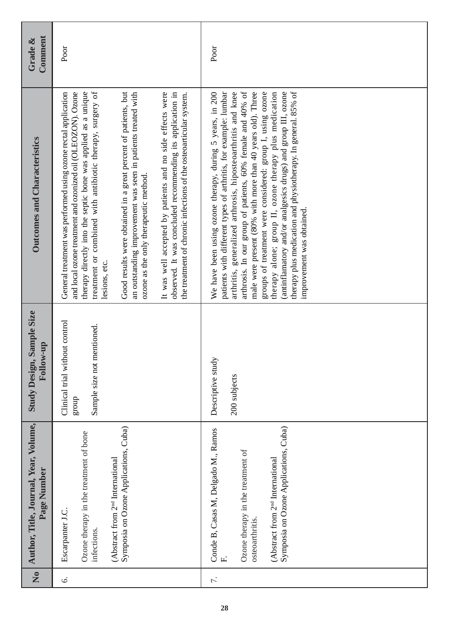| Comment<br>Grade &                                   | Poor                                                                                                                                                                                                                                                                                                                                                                                                                                                                                                                                                                                                                                                    | Poor                                                                                                                                                                                                                                                                                                                                                                                                                                                                                                                                                                                                          |
|------------------------------------------------------|---------------------------------------------------------------------------------------------------------------------------------------------------------------------------------------------------------------------------------------------------------------------------------------------------------------------------------------------------------------------------------------------------------------------------------------------------------------------------------------------------------------------------------------------------------------------------------------------------------------------------------------------------------|---------------------------------------------------------------------------------------------------------------------------------------------------------------------------------------------------------------------------------------------------------------------------------------------------------------------------------------------------------------------------------------------------------------------------------------------------------------------------------------------------------------------------------------------------------------------------------------------------------------|
| <b>Outcomes and Characteristics</b>                  | treatment or combined with antibiotic therapy, surgery of<br>and local ozone treatment and ozonized oil (OLEOZON). Ozone<br>therapy directly into the septic bone was applied as a unique<br>It was well accepted by patients and no side effects were<br>Good results were obtained in a great percent of patients, but<br>General treatment was performed using ozone rectal application<br>an outstanding improvement was seen in patients treated with<br>observed. It was concluded recommending its application in<br>the treatment of chronic infections of the osteoarticular system.<br>ozone as the only therapeutic method.<br>lesions, etc. | arthrosis. In our group of patients, 60% female and 40% of<br>patients with different types of arthritis, for example: lumbar<br>arthritis, generalized arthrosis, hiposteoarthritis and knee<br>male were present (80% with more than 40 years old). Three<br>groups of treatment were considered: group I, using ozone<br>(antinflamatory and/or analgesics drugs) and group III, ozone<br>therapy plus medication and physiotherapy. In general. 85% of<br>We have been using ozone therapy, during 5 years, in 200<br>therapy alone; group II, ozone therapy plus medication<br>improvement was obtained. |
| <b>Study Design, Sample Size</b><br>Follow-up        | thout control<br>mentioned.<br>Sample size not<br>Clinical trial wi<br>dnora                                                                                                                                                                                                                                                                                                                                                                                                                                                                                                                                                                            | ⊵<br>Descriptive stud<br>200 subjects                                                                                                                                                                                                                                                                                                                                                                                                                                                                                                                                                                         |
| Author, Title, Journal, Year, Volume,<br>Page Number | Symposia on Ozone Applications, Cuba)<br>Ozone therapy in the treatment of bone<br>(Abstract from 2 <sup>nd</sup> International<br>Escarpanter J.C.<br>infections.                                                                                                                                                                                                                                                                                                                                                                                                                                                                                      | Symposia on Ozone Applications, Cuba)<br>Conde B, Casas M, Delgado M., Ramos<br>Ozone therapy in the treatment of<br>(Abstract from 2 <sup>nd</sup> International<br>osteoarthritis.<br>$\mathbf{L}$                                                                                                                                                                                                                                                                                                                                                                                                          |
| $\tilde{\mathbf{z}}$                                 | 6.                                                                                                                                                                                                                                                                                                                                                                                                                                                                                                                                                                                                                                                      | 7.                                                                                                                                                                                                                                                                                                                                                                                                                                                                                                                                                                                                            |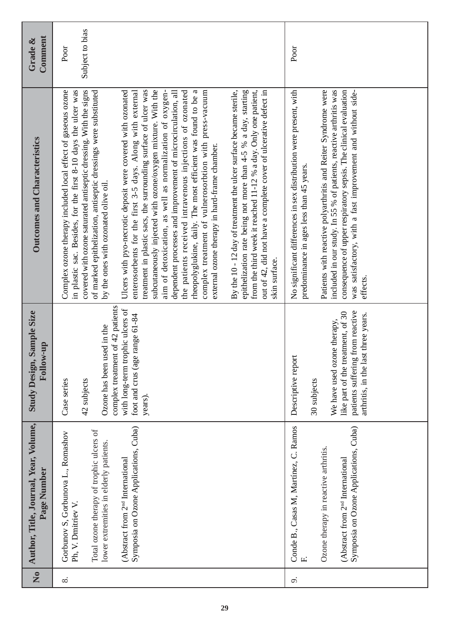|              | Author, Title, Journal, Year, Volume,<br>Page Number                                                                                                                                                                                    | Sample Size<br>Follow-up<br><b>Study Design,</b>                                                                                                                                 | <b>Outcomes and Characteristics</b>                                                                                                                                                                                                                                                                                                                                                                                                                                                                                                                                                                                                                                                                                                                                                                                                                                                                                                                                                                                                                                                                                                                                                                                                         | Comment<br>Grade &      |
|--------------|-----------------------------------------------------------------------------------------------------------------------------------------------------------------------------------------------------------------------------------------|----------------------------------------------------------------------------------------------------------------------------------------------------------------------------------|---------------------------------------------------------------------------------------------------------------------------------------------------------------------------------------------------------------------------------------------------------------------------------------------------------------------------------------------------------------------------------------------------------------------------------------------------------------------------------------------------------------------------------------------------------------------------------------------------------------------------------------------------------------------------------------------------------------------------------------------------------------------------------------------------------------------------------------------------------------------------------------------------------------------------------------------------------------------------------------------------------------------------------------------------------------------------------------------------------------------------------------------------------------------------------------------------------------------------------------------|-------------------------|
|              | Symposia on Ozone Applications, Cuba)<br>Total ozone therapy of trophic ulcers of<br>Gorbunov S, Gorbunova L., Romashov<br>lower extremities in elderly patients.<br>(Abstract from 2 <sup>nd</sup> International<br>Ph, V. Dmitriev V. | complex treatment of 42 patients<br>with long-term trophic ulcers of<br>foot and crus (age range 61-84<br>Ozone has been used in the<br>Case series<br>42 subjects<br>years).    | in plastic sac. Besides, for the first 8-10 days the ulcer was<br>covered with ozone saturated antiseptic dressing. With the signs<br>enterosorbents for the first 3-5 days. Along with external<br>treatment in plastic sacs, the surrounding surface of ulcer was<br>subcutaneously injected with ozone/oxygen mixture. With the<br>By the 10 - 12 day of treatment the ulcer surface became sterile,<br>from the third week it reached 11-12 % a day. Only one patient,<br>Complex ozone therapy included local effect of gaseous ozone<br>of marked epithelization, antiseptic dressings were substituted<br>Ulcers with pyo-necrotic deposit were covered with ozonated<br>the patients received intravenous injections of ozonated<br>complex treatment of vulnerosorbtion with press-vacuum<br>epithelization rate being not more than 4-5 % a day, starting<br>out of 42, did not have a complete cover of ulcerative defect in<br>aim of detoxication, as well as normalization of oxygen-<br>dependent processes and improvement of microcirculation, all<br>rheopolyglukine, daily. The most efficient was found to be<br>external ozone therapy in hard-frame chamber.<br>by the ones with ozonated olive oil.<br>skin surface. | Subject to bias<br>Poor |
| $\mathbf{L}$ | Conde B., Casas M, Martínez, C. Ramos<br>Symposia on Ozone Applications, Cuba)<br>Ozone therapy in reactive arthritis.<br>(Abstract from 2 <sup>nd</sup> International                                                                  | patients suffering from reactive<br>like part of the treatment, of 30<br>arthritis, in the last three years.<br>We have used ozone therapy,<br>Descriptive report<br>30 subjects | Patients with reactive polyarthritis and Reiter Syndrome were<br>included in our study. In 55 % of patients, reactive arthritis was<br>No significant differences in sex distribution were present, with<br>consequence of upper respiratory sepsis. The clinical evaluation<br>was satisfactory, with a fast improvement and without side-<br>predominance in ages less than 45 years.<br>effects.                                                                                                                                                                                                                                                                                                                                                                                                                                                                                                                                                                                                                                                                                                                                                                                                                                         | Poor                    |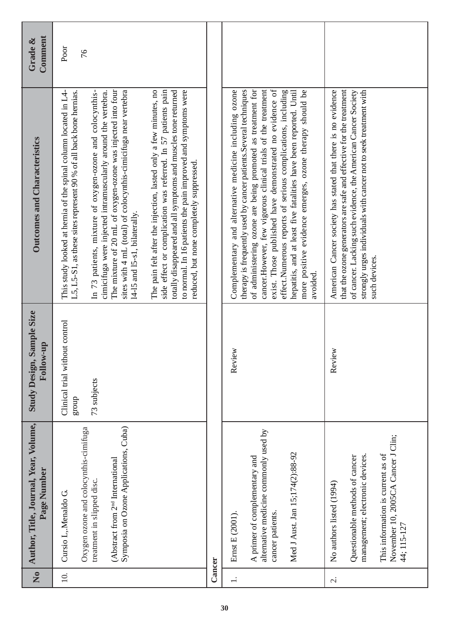| $\tilde{\mathbf{z}}$                       | Author, Title, Journal, Year, Volume,<br>Page Number                                                                                                                                                                                              | Sample Size<br>Follow-up<br><b>Study Design,</b>       | <b>Outcomes and Characteristics</b>                                                                                                                                                                                                                                                                                                                                                                                                                                                                                                                                                                                                                                                                                                                                                                                               | Comment<br>Grade & |
|--------------------------------------------|---------------------------------------------------------------------------------------------------------------------------------------------------------------------------------------------------------------------------------------------------|--------------------------------------------------------|-----------------------------------------------------------------------------------------------------------------------------------------------------------------------------------------------------------------------------------------------------------------------------------------------------------------------------------------------------------------------------------------------------------------------------------------------------------------------------------------------------------------------------------------------------------------------------------------------------------------------------------------------------------------------------------------------------------------------------------------------------------------------------------------------------------------------------------|--------------------|
| 10.                                        | Symposia on Ozone Applications, Cuba)<br>Oxygen ozone and colocynthis-cimifuga<br>(Abstract from 2 <sup>nd</sup> International<br>treatment in slipped disc.<br>Cursio L, Menaldo G.                                                              | Clinical trial without control<br>73 subjects<br>group | side effect or complication was referred. In 57 patients pain<br>The mixture of 20 mL of oxygen-ozone was injected into four<br>sites with 4 mL (total) of colocynthis-cimicifuga near vertebra<br>The pain felt after the injection, lasted only a few minutes, no<br>to normal. In 16 patients the pain improved and symptoms were<br>L5, L5-S1, as these sites represent 90 % of all back bone hernias.<br>totally disappeared and all symptoms and muscles tone returned<br>This study looked at hernia of the spinal column located in L4-<br>cimicifuga were injected intramuscularly around the vertebra.<br>In 73 patients, mixture of oxygen-ozone and colocynthis-<br>reduced, but none completely suppressed.<br>14-15 and 15-s1, bilaterally.                                                                         | Poor<br>76         |
| Cancer                                     |                                                                                                                                                                                                                                                   |                                                        |                                                                                                                                                                                                                                                                                                                                                                                                                                                                                                                                                                                                                                                                                                                                                                                                                                   |                    |
| $\overline{a}$<br>$\overline{\mathcal{C}}$ | alternative medicine commonly used by<br>Med J Aust. Jan 15;174(2):88-92<br>management; electronic devices.<br>Questionable methods of cancer<br>A primer of complementary and<br>No authors listed (1994)<br>cancer patients.<br>Ernst E (2001). | Review<br>Review                                       | of administering ozone are being promoted as treatment for<br>exist. Those published have demonstrated no evidence of<br>therapy is frequently used by cancer patients. Several techniques<br>cancer. However, few vigorous clinical trials of the treatment<br>that the ozone generators are safe and effective for the treatment<br>more positive evidence emerges, ozone therapy should be<br>American Cancer society has stated that there is no evidence<br>ozone<br>effect.Numerous reports of serious complications, including<br>strongly urges individuals with cancer not to seek treatment with<br>hepatitis, and at least five fatalities have been reported. Until<br>of cancer. Lacking such evidence, the American Cancer Society<br>Complementary and alternative medicine including<br>such devices.<br>avoided. |                    |
|                                            | November 10, 2005CA Cancer J Clin;<br>This information is current as of<br>44; 115-127                                                                                                                                                            |                                                        |                                                                                                                                                                                                                                                                                                                                                                                                                                                                                                                                                                                                                                                                                                                                                                                                                                   |                    |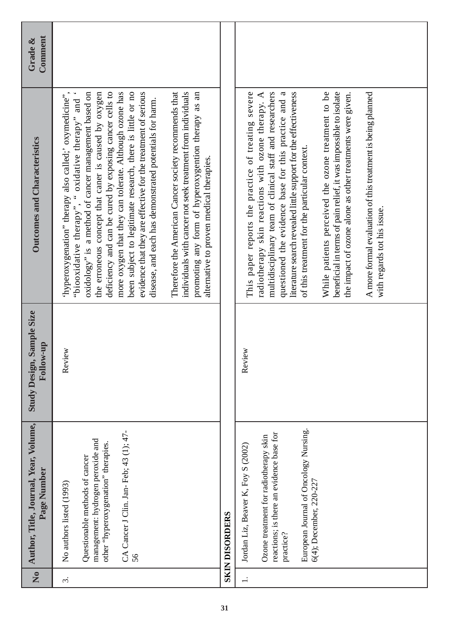| $\tilde{\mathbf{z}}$ | Author, Title, Journal, Year, Volume,<br>Page Number                                                                                                                                                     | Sample Size<br>Follow-up<br><b>Study Design,</b> | <b>Outcomes and Characteristics</b>                                                                                                                                                                                                                                                                                                                                                                                                                                                                                                                                                                                                                                                                                                                                 | Comment<br>Grade $\&$ |
|----------------------|----------------------------------------------------------------------------------------------------------------------------------------------------------------------------------------------------------|--------------------------------------------------|---------------------------------------------------------------------------------------------------------------------------------------------------------------------------------------------------------------------------------------------------------------------------------------------------------------------------------------------------------------------------------------------------------------------------------------------------------------------------------------------------------------------------------------------------------------------------------------------------------------------------------------------------------------------------------------------------------------------------------------------------------------------|-----------------------|
| $\ddot{\mathrm{c}}$  | CA Cancer J Clin. Jan-Feb; 43 (1); 47-<br>management: hydrogen peroxide and<br>other "hyperoxygenation" therapies.<br>Questionable methods of cancer<br>No authors listed (1993)<br>56                   | Review                                           | Therefore the American Cancer society recommends that<br>deficiency and can be cured by exposing cancer cells to<br>been subject to legitimate research, there is little or no<br>oxidology" is a method of cancer management based on<br>the erroneous concept that caner is caused by oxygen<br>more oxygen that they can tolerate. Although ozone has<br>evidence that they are effective for the treatment of serious<br>individuals with cancer not seek treatment from individuals<br>promoting any form of hyperoxygention therapy as an<br>'hyperoxygenation" therapy also called;' oxymedicine"<br>"biooxidative therapy", " oxidative therapy" and<br>disease, and each has demonstrated potentials for harm.<br>alternative to proven medical therapies. |                       |
|                      | <b>SKIN DISORDERS</b>                                                                                                                                                                                    |                                                  |                                                                                                                                                                                                                                                                                                                                                                                                                                                                                                                                                                                                                                                                                                                                                                     |                       |
| $\overline{a}$       | European Journal of Oncology Nursing.<br>reactions; is there an evidence base for<br>Ozone treatment for radiotherapy skin<br>Jordan Liz, Beaver K, Foy S (2002)<br>6(4); December, 220-227<br>practice? | Review                                           | multidisciplinary team of clinical staff and researchers<br>This paper reports the practice of treating severe<br>radiotherapy skin reactions with ozone therapy. A<br>questioned the evidence base for this practice and a<br>literature search revealed little support for the effectiveness<br>While patients perceived the ozone treatment to be<br>beneficial in terms of pain relief, it was impossible to isolate<br>A more formal evaluation of this treatment is being planned<br>given.<br>the impact of ozone alone as other treatments were<br>of this treatment for the particular context.<br>with regards tot his issue.                                                                                                                             |                       |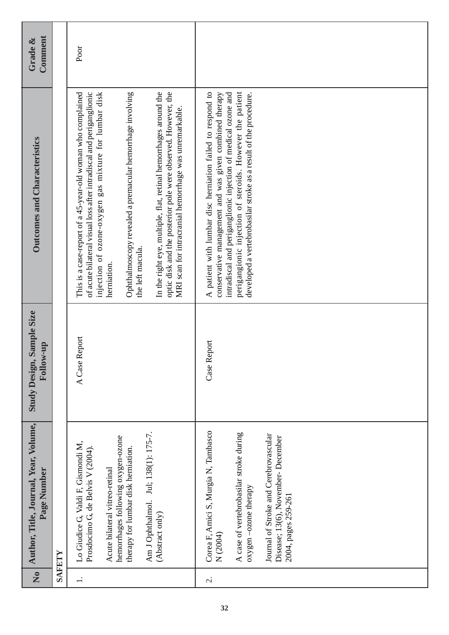| $\overline{a}$ | Author, Title, Journal, Year, Volume,<br>Page Number                                                                                                                                                                                               | , Sample Size<br>Follow-up<br><b>Study Design,</b> | Outcomes and Characteristics                                                                                                                                                                                                                                                                                                                                                                                                                                                              | Comment<br>Grade & |
|----------------|----------------------------------------------------------------------------------------------------------------------------------------------------------------------------------------------------------------------------------------------------|----------------------------------------------------|-------------------------------------------------------------------------------------------------------------------------------------------------------------------------------------------------------------------------------------------------------------------------------------------------------------------------------------------------------------------------------------------------------------------------------------------------------------------------------------------|--------------------|
|                | SAFETY                                                                                                                                                                                                                                             |                                                    |                                                                                                                                                                                                                                                                                                                                                                                                                                                                                           |                    |
| $\div$         | Jul; 138(1): 175-7.<br>hemorrhages following oxygen-ozone<br>Lo Giudice G, Valdi F, Gismondi M,<br>Prosdocimo G de Belvis V (2004).<br>therapy for lumbar disk herniation<br>Acute bilateral vitreo-retinal<br>Am J Ophthalmol.<br>(Abstract only) | Report<br>A Case                                   | injection of ozone-oxygen gas mixture for lumbar disk<br>This is a case-report of a 45-year-old woman who complained<br>of acute bilateral visual loss after intradiscal and periganglionic<br>Ophthalmoscopy revealed a premacular hemorrhage involving<br>In the right eye, multiple, flat, retinal hemorrhages around the<br>optic disk and the posterior pole were observed. However, the<br>MRI scan for intracranial hemorrhage was unremarkable.<br>the left macula.<br>herniation | Poor               |
| $\sim$         | Corea F, Amici S, Murgia N, Tambasco<br>A case of vertebrobasilar stroke during<br>Journal of Stroke and Cerebrovascular<br>Disease; 13(6), November-December<br>oxygen-ozone therapy<br>2004, pages 259-261<br>N (2004)                           | Report<br>Case I                                   | A patient with lumbar disc herniation failed to respond to<br>perigangionic injection of steroids. However the patient<br>conservative management and was given combined therapy<br>intradiscal and periganglionic injection of medical ozone and<br>developed a vertebrobasilar stroke as a result of the procedure.                                                                                                                                                                     |                    |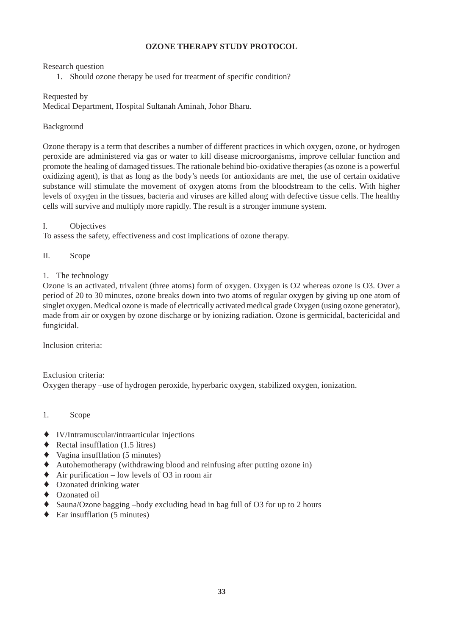#### **OZONE THERAPY STUDY PROTOCOL**

#### Research question

1. Should ozone therapy be used for treatment of specific condition?

#### Requested by

Medical Department, Hospital Sultanah Aminah, Johor Bharu.

#### Background

Ozone therapy is a term that describes a number of different practices in which oxygen, ozone, or hydrogen peroxide are administered via gas or water to kill disease microorganisms, improve cellular function and promote the healing of damaged tissues. The rationale behind bio-oxidative therapies (as ozone is a powerful oxidizing agent), is that as long as the body's needs for antioxidants are met, the use of certain oxidative substance will stimulate the movement of oxygen atoms from the bloodstream to the cells. With higher levels of oxygen in the tissues, bacteria and viruses are killed along with defective tissue cells. The healthy cells will survive and multiply more rapidly. The result is a stronger immune system.

#### I. Objectives

To assess the safety, effectiveness and cost implications of ozone therapy.

- II. Scope
- 1. The technology

Ozone is an activated, trivalent (three atoms) form of oxygen. Oxygen is O2 whereas ozone is O3. Over a period of 20 to 30 minutes, ozone breaks down into two atoms of regular oxygen by giving up one atom of singlet oxygen. Medical ozone is made of electrically activated medical grade Oxygen (using ozone generator), made from air or oxygen by ozone discharge or by ionizing radiation. Ozone is germicidal, bactericidal and fungicidal.

Inclusion criteria:

Exclusion criteria: Oxygen therapy –use of hydrogen peroxide, hyperbaric oxygen, stabilized oxygen, ionization.

- 1. Scope
- ♦ IV/Intramuscular/intraarticular injections
- $\triangleleft$  Rectal insufflation (1.5 litres)
- $\blacklozenge$  Vagina insufflation (5 minutes)
- ♦ Autohemotherapy (withdrawing blood and reinfusing after putting ozone in)
- $\triangle$  Air purification low levels of O3 in room air
- ♦ Ozonated drinking water
- ♦ Ozonated oil
- ♦ Sauna/Ozone bagging –body excluding head in bag full of O3 for up to 2 hours
- $\leftarrow$  Ear insufflation (5 minutes)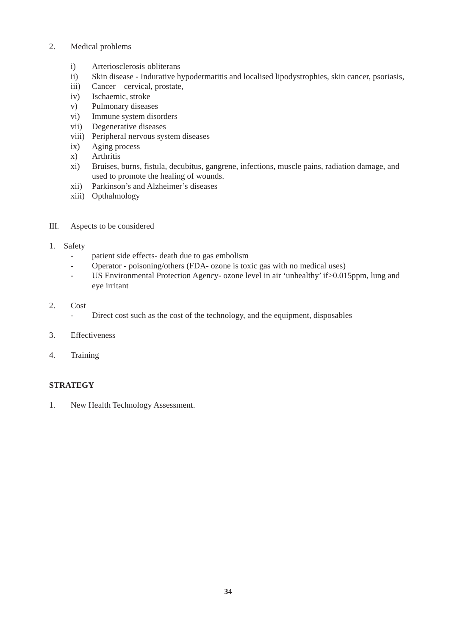- 2. Medical problems
	- i) Arteriosclerosis obliterans
	- ii) Skin disease Indurative hypodermatitis and localised lipodystrophies, skin cancer, psoriasis,
	- iii) Cancer cervical, prostate,
	- iv) Ischaemic, stroke
	- v) Pulmonary diseases
	- vi) Immune system disorders
	- vii) Degenerative diseases
	- viii) Peripheral nervous system diseases
	- ix) Aging process
	- x) Arthritis
	- xi) Bruises, burns, fistula, decubitus, gangrene, infections, muscle pains, radiation damage, and used to promote the healing of wounds.
	- xii) Parkinson's and Alzheimer's diseases
	- xiii) Opthalmology
- III. Aspects to be considered
- 1. Safety
	- patient side effects- death due to gas embolism
	- Operator poisoning/others (FDA- ozone is toxic gas with no medical uses)
	- US Environmental Protection Agency- ozone level in air 'unhealthy' if>0.015ppm, lung and eye irritant
- 2. Cost
	- Direct cost such as the cost of the technology, and the equipment, disposables
- 3. Effectiveness
- 4. Training

#### **STRATEGY**

1. New Health Technology Assessment.